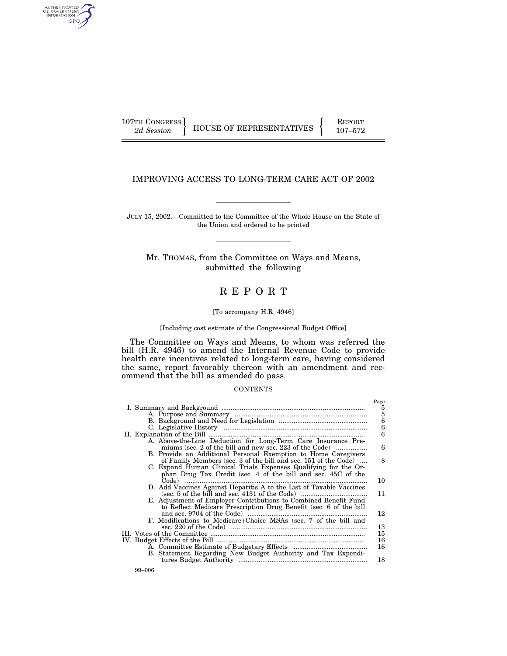107TH CONGRESS REPORT

AUTHENTICATED<br>U.S. GOVERNMENT<br>INFORMATION GPO

2d Session **HOUSE OF REPRESENTATIVES** 107-572

# IMPROVING ACCESS TO LONG-TERM CARE ACT OF 2002

JULY 15, 2002.—Committed to the Committee of the Whole House on the State of the Union and ordered to be printed

Mr. THOMAS, from the Committee on Ways and Means, submitted the following

# R E P O R T

#### [To accompany H.R. 4946]

#### [Including cost estimate of the Congressional Budget Office]

The Committee on Ways and Means, to whom was referred the bill (H.R. 4946) to amend the Internal Revenue Code to provide health care incentives related to long-term care, having considered the same, report favorably thereon with an amendment and recommend that the bill as amended do pass.

#### **CONTENTS**

|                                                                     | Page                                      |
|---------------------------------------------------------------------|-------------------------------------------|
|                                                                     |                                           |
|                                                                     | $\frac{5}{5}$ $\frac{6}{6}$ $\frac{6}{6}$ |
|                                                                     |                                           |
|                                                                     |                                           |
|                                                                     |                                           |
| A. Above-the-Line Deduction for Long-Term Care Insurance Pre-       |                                           |
| miums (sec. 2 of the bill and new sec. 223 of the Code)             | 6                                         |
| B. Provide an Additional Personal Exemption to Home Caregivers      |                                           |
| of Family Members (sec. 3 of the bill and sec. 151 of the Code)     | 8                                         |
| C. Expand Human Clinical Trials Expenses Qualifying for the Or-     |                                           |
| phan Drug Tax Credit (sec. 4 of the bill and sec. 45C of the        |                                           |
|                                                                     | 10                                        |
| D. Add Vaccines Against Hepatitis A to the List of Taxable Vaccines |                                           |
|                                                                     | 11                                        |
| E. Adjustment of Employer Contributions to Combined Benefit Fund    |                                           |
| to Reflect Medicare Prescription Drug Benefit (sec. 6 of the bill   |                                           |
|                                                                     | 12                                        |
| F. Modifications to Medicare+Choice MSAs (sec. 7 of the bill and    |                                           |
|                                                                     | 13                                        |
|                                                                     | 15                                        |
|                                                                     | 16                                        |
|                                                                     | 16                                        |
| B. Statement Regarding New Budget Authority and Tax Expendi-        |                                           |
|                                                                     | 18                                        |
|                                                                     |                                           |
|                                                                     |                                           |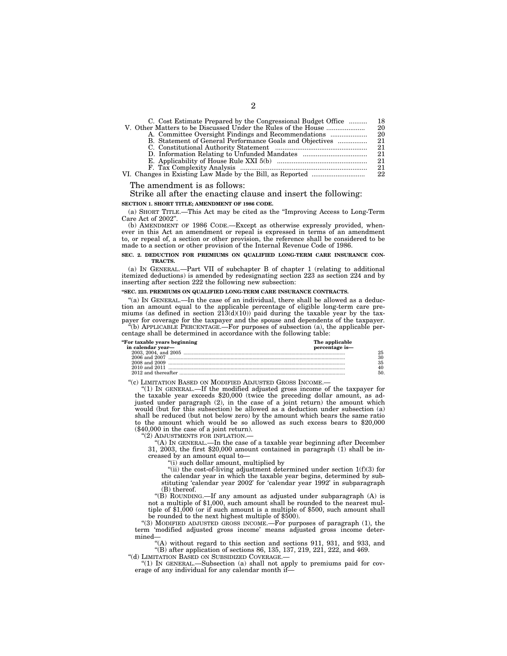| C. Cost Estimate Prepared by the Congressional Budget Office | 18  |
|--------------------------------------------------------------|-----|
|                                                              | 20  |
|                                                              | 20  |
| B. Statement of General Performance Goals and Objectives     | 21  |
|                                                              | 21  |
|                                                              | 21  |
|                                                              | 21  |
|                                                              | 21. |
|                                                              | 22  |
|                                                              |     |

The amendment is as follows:

#### Strike all after the enacting clause and insert the following: **SECTION 1. SHORT TITLE; AMENDMENT OF 1986 CODE.**

(a) SHORT TITLE.—This Act may be cited as the ''Improving Access to Long-Term Care Act of 2002''.

(b) AMENDMENT OF 1986 CODE.—Except as otherwise expressly provided, whenever in this Act an amendment or repeal is expressed in terms of an amendment to, or repeal of, a section or other provision, the reference shall be considered to be made to a section or other provision of the Internal Revenue Code of 1986.

#### **SEC. 2. DEDUCTION FOR PREMIUMS ON QUALIFIED LONG-TERM CARE INSURANCE CON-TRACTS.**

(a) IN GENERAL.—Part VII of subchapter B of chapter 1 (relating to additional itemized deductions) is amended by redesignating section 223 as section 224 and by inserting after section 222 the following new subsection:

#### **''SEC. 223. PREMIUMS ON QUALIFIED LONG-TERM CARE INSURANCE CONTRACTS.**

"(a) IN GENERAL.—In the case of an individual, there shall be allowed as a deduction an amount equal to the applicable percentage of eligible long-term care premiums (as defined in section  $2\overline{1}3(d)(10)$ ) paid during the taxable year by the taxpayer for coverage for the taxpayer and the spouse and dependents of the taxpayer.

''(b) APPLICABLE PERCENTAGE.—For purposes of subsection (a), the applicable percentage shall be determined in accordance with the following table:

| "For taxable years beginning | The applicable |
|------------------------------|----------------|
| in calendar year-            | percentage is- |
|                              |                |
|                              |                |
|                              |                |
|                              |                |
|                              |                |

''(c) LIMITATION BASED ON MODIFIED ADJUSTED GROSS INCOME.—

''(1) IN GENERAL.—If the modified adjusted gross income of the taxpayer for the taxable year exceeds \$20,000 (twice the preceding dollar amount, as adjusted under paragraph (2), in the case of a joint return) the amount which would (but for this subsection) be allowed as a deduction under subsection (a) shall be reduced (but not below zero) by the amount which bears the same ratio to the amount which would be so allowed as such excess bears to \$20,000 (\$40,000 in the case of a joint return).

"(2) ADJUSTMENTS FOR INFLATION.

''(A) IN GENERAL.—In the case of a taxable year beginning after December 31, 2003, the first \$20,000 amount contained in paragraph (1) shall be increased by an amount equal to—

''(i) such dollar amount, multiplied by

"(ii) the cost-of-living adjustment determined under section  $1(f)(3)$  for the calendar year in which the taxable year begins, determined by substituting 'calendar year 2002' for 'calendar year 1992' in subparagraph (B) thereof.

''(B) ROUNDING.—If any amount as adjusted under subparagraph (A) is not a multiple of \$1,000, such amount shall be rounded to the nearest multiple of \$1,000 (or if such amount is a multiple of \$500, such amount shall be rounded to the next highest multiple of \$500).

''(3) MODIFIED ADJUSTED GROSS INCOME.—For purposes of paragraph (1), the term 'modified adjusted gross income' means adjusted gross income determined—

''(A) without regard to this section and sections 911, 931, and 933, and ''(B) after application of sections 86, 135, 137, 219, 221, 222, and 469. ''(d) LIMITATION BASED ON SUBSIDIZED COVERAGE.—

''(1) IN GENERAL.—Subsection (a) shall not apply to premiums paid for coverage of any individual for any calendar month if—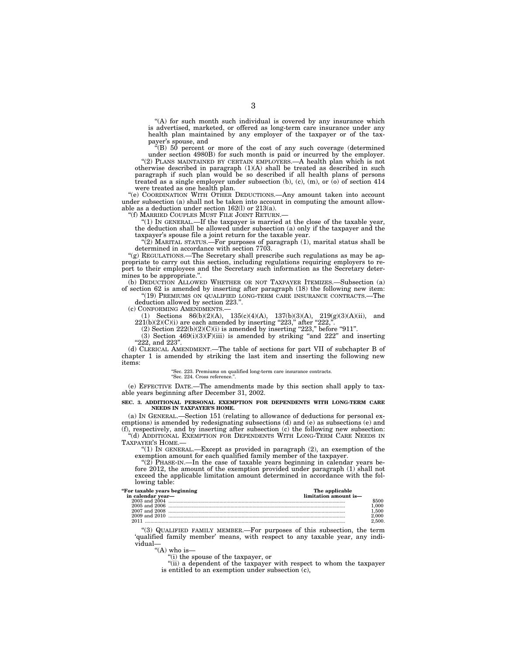"(A) for such month such individual is covered by any insurance which is advertised, marketed, or offered as long-term care insurance under any health plan maintained by any employer of the taxpayer or of the taxpayer's spouse, and

''(B) 50 percent or more of the cost of any such coverage (determined under section 4980B) for such month is paid or incurred by the employer. ''(2) PLANS MAINTAINED BY CERTAIN EMPLOYERS.—A health plan which is not otherwise described in paragraph (1)(A) shall be treated as described in such paragraph if such plan would be so described if all health plans of persons treated as a single employer under subsection (b), (c), (m), or (o) of section 414 were treated as one health plan.

''(e) COORDINATION WITH OTHER DEDUCTIONS.—Any amount taken into account under subsection (a) shall not be taken into account in computing the amount allowable as a deduction under section 162(l) or 213(a).

''(f) MARRIED COUPLES MUST FILE JOINT RETURN.—

" $(1)$  IN GENERAL.—If the taxpayer is married at the close of the taxable year, the deduction shall be allowed under subsection (a) only if the taxpayer and the taxpayer's spouse file a joint return for the taxable year.

" $(2)$  MARITAL STATUS.—For purposes of paragraph  $(1)$ , marital status shall be determined in accordance with section 7703.

"(g) REGULATIONS.—The Secretary shall prescribe such regulations as may be appropriate to carry out this section, including regulations requiring employers to report to their employees and the Secretary such information as the Secretary determines to be appropriate.''.

(b) DEDUCTION ALLOWED WHETHER OR NOT TAXPAYER ITEMIZES.—Subsection (a) of section 62 is amended by inserting after paragraph (18) the following new item:

''(19) PREMIUMS ON QUALIFIED LONG-TERM CARE INSURANCE CONTRACTS.—The deduction allowed by section 223.''.

(c) CONFORMING AMENDMENTS.—

(1) Sections  $86(b)(2)(A)$ ,  $135(c)(4)(A)$ ,  $137(b)(3)(A)$ ,  $219(g)(3)(A)(ii)$ , and  $221(b)(2)(C)(i)$  are each amended by inserting "223," after "222,".

 $(2)$  Section  $222(b)(2)(C)(i)$  is amended by inserting "223," before "911".

 $(3)$  Section  $469(i)(3)(F)(iii)$  is amended by striking "and 222" and inserting

"222, and 223".

(d) CLERICAL AMENDMENT.—The table of sections for part VII of subchapter B of chapter 1 is amended by striking the last item and inserting the following new items:

''Sec. 223. Premiums on qualified long-term care insurance contracts. ''Sec. 224. Cross reference.''.

(e) EFFECTIVE DATE.—The amendments made by this section shall apply to taxable years beginning after December 31, 2002.

#### **SEC. 3. ADDITIONAL PERSONAL EXEMPTION FOR DEPENDENTS WITH LONG-TERM CARE NEEDS IN TAXPAYER'S HOME.**

(a) IN GENERAL.—Section 151 (relating to allowance of deductions for personal exemptions) is amended by redesignating subsections (d) and (e) as subsections (e) and (f), respectively, and by inserting after subsection (c) the following new subsection:

''(d) ADDITIONAL EXEMPTION FOR DEPENDENTS WITH LONG-TERM CARE NEEDS IN TAXPAYER'S HOME.—

"(1) In GENERAL.—Except as provided in paragraph  $(2)$ , an exemption of the exemption amount for each qualified family member of the taxpayer.

" $(2)$  PHASE-IN.—In the case of taxable years beginning in calendar years before 2012, the amount of the exemption provided under paragraph (1) shall not exceed the applicable limitation amount determined in accordance with the following table:

| "For taxable years beginning |  |  |  |
|------------------------------|--|--|--|
|                              |  |  |  |

| "For taxable years beginning | The applicable |
|------------------------------|----------------|
| --- ----------------         |                |

| in calendar year— | limitation amount is- |
|-------------------|-----------------------|
|                   | 500                   |
|                   |                       |
| 2007 and 2008     | 500                   |
| $2009$ and $2010$ |                       |
|                   | .500.                 |
|                   |                       |

''(3) QUALIFIED FAMILY MEMBER.—For purposes of this subsection, the term 'qualified family member' means, with respect to any taxable year, any individual—

"(A) who is—

''(i) the spouse of the taxpayer, or

''(ii) a dependent of the taxpayer with respect to whom the taxpayer is entitled to an exemption under subsection  $(c)$ ,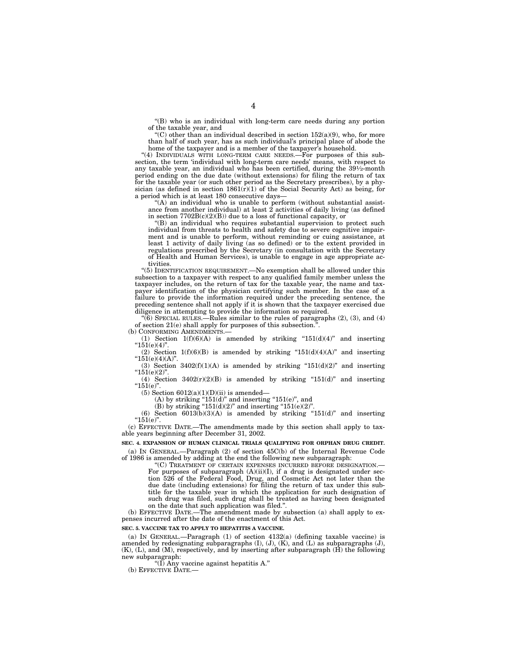''(B) who is an individual with long-term care needs during any portion of the taxable year, and

"(C) other than an individual described in section  $152(a)(9)$ , who, for more than half of such year, has as such individual's principal place of abode the home of the taxpayer and is a member of the taxpayer's household.

"(4) INDIVIDUALS WITH LONG-TERM CARE NEEDS.—For purposes of this subsection, the term 'individual with long-term care needs' means, with respect to any taxable year, an individual who has been certified, during the  $39\frac{1}{2}$ -month period ending on the due date (without extensions) for filing the return of tax for the taxable year (or such other period as the Secretary prescribes), by a physician (as defined in section  $1861(r)(1)$  of the Social Security Act) as being, for a period which is at least 180 consecutive days—

''(A) an individual who is unable to perform (without substantial assistance from another individual) at least 2 activities of daily living (as defined in section  $7702B(c)(2)(B)$  due to a loss of functional capacity, or

''(B) an individual who requires substantial supervision to protect such individual from threats to health and safety due to severe cognitive impairment and is unable to perform, without reminding or cuing assistance, at least 1 activity of daily living (as so defined) or to the extent provided in regulations prescribed by the Secretary (in consultation with the Secretary of Health and Human Services), is unable to engage in age appropriate activities.

''(5) IDENTIFICATION REQUIREMENT.—No exemption shall be allowed under this subsection to a taxpayer with respect to any qualified family member unless the taxpayer includes, on the return of tax for the taxable year, the name and taxpayer identification of the physician certifying such member. In the case of a failure to provide the information required under the preceding sentence, the preceding sentence shall not apply if it is shown that the taxpayer exercised due diligence in attempting to provide the information so required.

''(6) SPECIAL RULES.—Rules similar to the rules of paragraphs (2), (3), and (4) of section 21(e) shall apply for purposes of this subsection.'

(b) CONFORMING AMENDMENTS.—

(1) Section  $1(f)(6)(A)$  is amended by striking " $151(d)(4)$ " and inserting  $i$ <sup>"</sup> $151(e)(4)$ " (2) Section  $1(f)(6)(B)$  is amended by striking " $151(d)(4)(A)$ " and inserting

 $"151(e)(4)(A)"$ (3) Section  $3402(f)(1)(A)$  is amended by striking " $151(d)(2)$ " and inserting

 $"151(e)(2)"$ (4) Section  $3402(r)(2)(B)$  is amended by striking "151(d)" and inserting " $151(e)$ ".

(5) Section  $6012(a)(1)(D)(ii)$  is amended–

 $(A)$  by striking "151 $(d)$ " and inserting "151 $(e)$ ", and

(B) by striking " $151(d)(2)$ " and inserting " $151(e)(2)$ ".

(6) Section  $6013(b)(3)(A)$  is amended by striking "151(d)" and inserting  $"151(e)"$ .

(c) EFFECTIVE DATE.—The amendments made by this section shall apply to taxable years beginning after December 31, 2002.

**SEC. 4. EXPANSION OF HUMAN CLINICAL TRIALS QUALIFYING FOR ORPHAN DRUG CREDIT.**  (a) IN GENERAL.—Paragraph (2) of section 45C(b) of the Internal Revenue Code of 1986 is amended by adding at the end the following new subparagraph:

''(C) TREATMENT OF CERTAIN EXPENSES INCURRED BEFORE DESIGNATION.—

For purposes of subparagraph  $(A)(ii)(I)$ , if a drug is designated under section 526 of the Federal Food, Drug, and Cosmetic Act not later than the due date (including extensions) for filing the return of tax under this subtitle for the taxable year in which the application for such designation of such drug was filed, such drug shall be treated as having been designated on the date that such application was filed.''.

(b) EFFECTIVE DATE.—The amendment made by subsection (a) shall apply to expenses incurred after the date of the enactment of this Act.

#### SEC. 5. VACCINE TAX TO APPLY TO HEPATITIS A VACCINE

(a) IN GENERAL.—Paragraph  $(1)$  of section  $4132(a)$  (defining taxable vaccine) is amended by redesignating subparagraphs (I), (J), (K), and (L) as subparagraphs (J), (K), (L), and (M), respectively, and by inserting after subparagraph (H) the following new subparagraph:

''(I) Any vaccine against hepatitis A.''

(b) EFFECTIVE DATE.-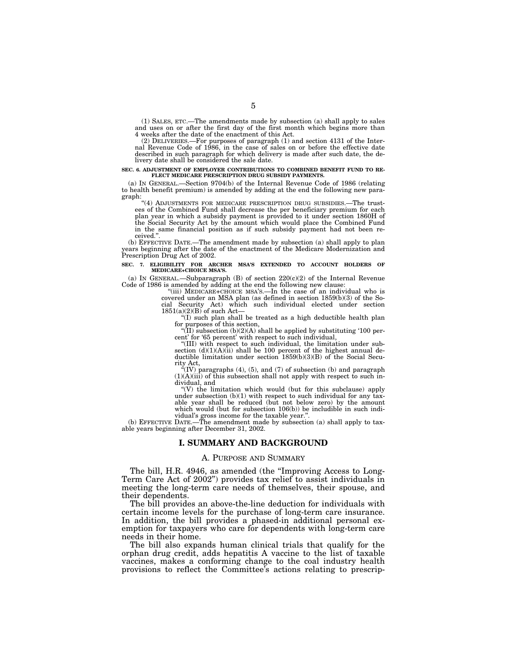(1) SALES, ETC.—The amendments made by subsection (a) shall apply to sales and uses on or after the first day of the first month which begins more than 4 weeks after the date of the enactment of this Act.

(2) DELIVERIES.—For purposes of paragraph (1) and section 4131 of the Inter-nal Revenue Code of 1986, in the case of sales on or before the effective date described in such paragraph for which delivery is made after such date, the delivery date shall be considered the sale date.

#### **SEC. 6. ADJUSTMENT OF EMPLOYER CONTRIBUTIONS TO COMBINED BENEFIT FUND TO RE-FLECT MEDICARE PRESCRIPTION DRUG SUBSIDY PAYMENTS.**

(a) IN GENERAL.—Section 9704(b) of the Internal Revenue Code of 1986 (relating to health benefit premium) is amended by adding at the end the following new para-

graph: "(4) ADJUSTMENTS FOR MEDICARE PRESCRIPTION DRUG SUBSIDIES.—The trustees of the Combined Fund shall decrease the per beneficiary premium for each plan year in which a subsidy payment is provided to it under section 1860H of the Social Security Act by the amount which would place the Combined Fund in the same financial position as if such subsidy payment had not been re-

(b) EFFECTIVE DATE.—The amendment made by subsection (a) shall apply to plan years beginning after the date of the enactment of the Medicare Modernization and Prescription Drug Act of 2002.

#### **SEC. 7. ELIGIBILITY FOR ARCHER MSA'S EXTENDED TO ACCOUNT HOLDERS OF MEDICARE+CHOICE MSA'S.**

(a) IN GENERAL.—Subparagraph (B) of section 220(c)(2) of the Internal Revenue Code of 1986 is amended by adding at the end the following new clause: "(iii) MEDICARE+CHOICE MSA'S.—In the case of an individual who is

covered under an MSA plan (as defined in section 1859(b)(3) of the Social Security Act) which such individual elected under section  $1851(a)(2)(B)$  of such Act—

 $f(T)$  such plan shall be treated as a high deductible health plan

for purposes of this section,<br>
"(II) subsection (b)(2)(A) shall be applied by substituting '100 per-<br>
cent' for '65 percent' with respect to such individual,

"(III) with respect to such individual, the limitation under subsection  $(d)(1)(A)(ii)$  shall be 100 percent of the highest annual deductible limitation under section  $1859(b)(3)(B)$  of the Social Secu-

rity Act, ''(IV) paragraphs (4), (5), and (7) of subsection (b) and paragraph (1)(A)(iii) of this subsection shall not apply with respect to such in-

dividual, and<br>
"(V) the limitation which would (but for this subclause) apply<br>
under subsection (b)(1) with respect to such individual for any taxable year shall be reduced (but not below zero) by the amount which would (but for subsection 106(b)) be includible in such indi-

vidual's gross income for the taxable year.".<br>(b) EFFECTIVE DATE.—The amendment made by subsection (a) shall apply to taxable years beginning after December 31, 2002.

#### **I. SUMMARY AND BACKGROUND**

#### A. PURPOSE AND SUMMARY

The bill, H.R. 4946, as amended (the "Improving Access to Long-Term Care Act of 2002'') provides tax relief to assist individuals in meeting the long-term care needs of themselves, their spouse, and their dependents.

The bill provides an above-the-line deduction for individuals with certain income levels for the purchase of long-term care insurance. In addition, the bill provides a phased-in additional personal exemption for taxpayers who care for dependents with long-term care needs in their home.

The bill also expands human clinical trials that qualify for the orphan drug credit, adds hepatitis A vaccine to the list of taxable vaccines, makes a conforming change to the coal industry health provisions to reflect the Committee's actions relating to prescrip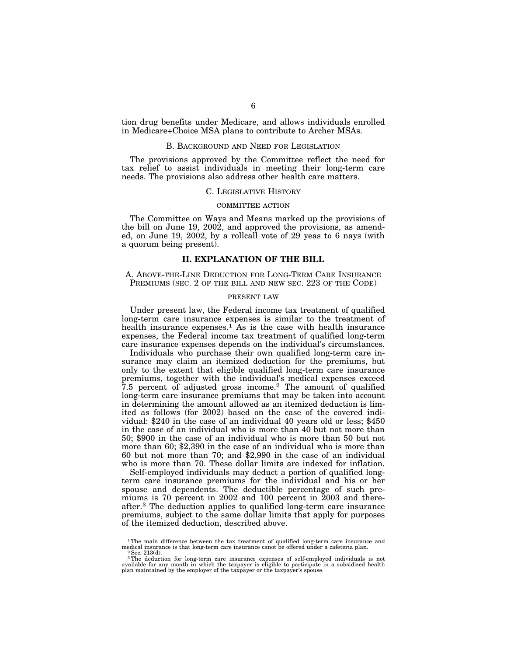tion drug benefits under Medicare, and allows individuals enrolled in Medicare+Choice MSA plans to contribute to Archer MSAs.

#### B. BACKGROUND AND NEED FOR LEGISLATION

The provisions approved by the Committee reflect the need for tax relief to assist individuals in meeting their long-term care needs. The provisions also address other health care matters.

#### C. LEGISLATIVE HISTORY

#### COMMITTEE ACTION

The Committee on Ways and Means marked up the provisions of the bill on June 19, 2002, and approved the provisions, as amended, on June 19, 2002, by a rollcall vote of 29 yeas to 6 nays (with a quorum being present).

# **II. EXPLANATION OF THE BILL**

A. ABOVE-THE-LINE DEDUCTION FOR LONG-TERM CARE INSURANCE PREMIUMS (SEC. 2 OF THE BILL AND NEW SEC. 223 OF THE CODE)

#### PRESENT LAW

Under present law, the Federal income tax treatment of qualified long-term care insurance expenses is similar to the treatment of health insurance expenses.<sup>1</sup> As is the case with health insurance expenses, the Federal income tax treatment of qualified long-term care insurance expenses depends on the individual's circumstances.

Individuals who purchase their own qualified long-term care insurance may claim an itemized deduction for the premiums, but only to the extent that eligible qualified long-term care insurance premiums, together with the individual's medical expenses exceed 7.5 percent of adjusted gross income.2 The amount of qualified long-term care insurance premiums that may be taken into account in determining the amount allowed as an itemized deduction is limited as follows (for 2002) based on the case of the covered individual: \$240 in the case of an individual 40 years old or less; \$450 in the case of an individual who is more than 40 but not more than 50; \$900 in the case of an individual who is more than 50 but not more than 60; \$2,390 in the case of an individual who is more than 60 but not more than 70; and \$2,990 in the case of an individual who is more than 70. These dollar limits are indexed for inflation.

Self-employed individuals may deduct a portion of qualified longterm care insurance premiums for the individual and his or her spouse and dependents. The deductible percentage of such premiums is 70 percent in 2002 and 100 percent in 2003 and thereafter.3 The deduction applies to qualified long-term care insurance premiums, subject to the same dollar limits that apply for purposes of the itemized deduction, described above.

<sup>&</sup>lt;sup>1</sup>The main difference between the tax treatment of qualified long-term care insurance and medical insurance is that long-term care insurance canot be offered under a cafeteria plan. <sup>2</sup>Sec. 213(d).

 $3$ The deduction for long-term care insurance expenses of self-employed individuals is not available for any month in which the taxpayer is eligible to participate in a subsidized health plan maintained by the employer of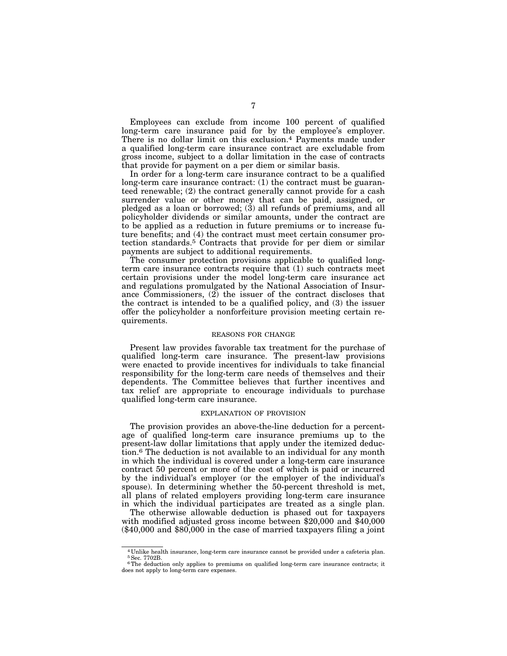Employees can exclude from income 100 percent of qualified long-term care insurance paid for by the employee's employer. There is no dollar limit on this exclusion.4 Payments made under a qualified long-term care insurance contract are excludable from gross income, subject to a dollar limitation in the case of contracts that provide for payment on a per diem or similar basis.

In order for a long-term care insurance contract to be a qualified long-term care insurance contract: (1) the contract must be guaranteed renewable; (2) the contract generally cannot provide for a cash surrender value or other money that can be paid, assigned, or pledged as a loan or borrowed; (3) all refunds of premiums, and all policyholder dividends or similar amounts, under the contract are to be applied as a reduction in future premiums or to increase future benefits; and (4) the contract must meet certain consumer protection standards.5 Contracts that provide for per diem or similar payments are subject to additional requirements.

The consumer protection provisions applicable to qualified longterm care insurance contracts require that (1) such contracts meet certain provisions under the model long-term care insurance act and regulations promulgated by the National Association of Insurance Commissioners, (2) the issuer of the contract discloses that the contract is intended to be a qualified policy, and (3) the issuer offer the policyholder a nonforfeiture provision meeting certain requirements.

#### REASONS FOR CHANGE

Present law provides favorable tax treatment for the purchase of qualified long-term care insurance. The present-law provisions were enacted to provide incentives for individuals to take financial responsibility for the long-term care needs of themselves and their dependents. The Committee believes that further incentives and tax relief are appropriate to encourage individuals to purchase qualified long-term care insurance.

#### EXPLANATION OF PROVISION

The provision provides an above-the-line deduction for a percentage of qualified long-term care insurance premiums up to the present-law dollar limitations that apply under the itemized deduction.6 The deduction is not available to an individual for any month in which the individual is covered under a long-term care insurance contract 50 percent or more of the cost of which is paid or incurred by the individual's employer (or the employer of the individual's spouse). In determining whether the 50-percent threshold is met, all plans of related employers providing long-term care insurance in which the individual participates are treated as a single plan.

The otherwise allowable deduction is phased out for taxpayers with modified adjusted gross income between \$20,000 and \$40,000 (\$40,000 and \$80,000 in the case of married taxpayers filing a joint

<sup>4</sup> Unlike health insurance, long-term care insurance cannot be provided under a cafeteria plan. 5Sec. 7702B.

<sup>&</sup>lt;sup>6</sup>The deduction only applies to premiums on qualified long-term care insurance contracts; it does not apply to long-term care expenses.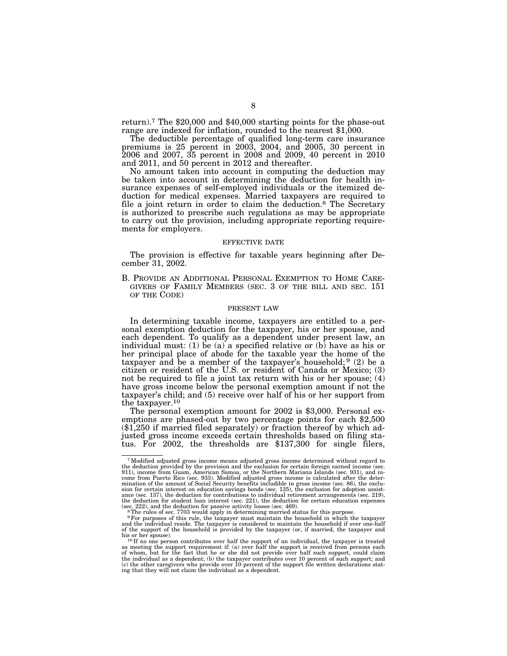return).7 The \$20,000 and \$40,000 starting points for the phase-out range are indexed for inflation, rounded to the nearest \$1,000.

The deductible percentage of qualified long-term care insurance premiums is 25 percent in 2003, 2004, and 2005, 30 percent in 2006 and 2007, 35 percent in 2008 and 2009, 40 percent in 2010 and 2011, and 50 percent in 2012 and thereafter.

No amount taken into account in computing the deduction may be taken into account in determining the deduction for health insurance expenses of self-employed individuals or the itemized deduction for medical expenses. Married taxpayers are required to file a joint return in order to claim the deduction.<sup>8</sup> The Secretary is authorized to prescribe such regulations as may be appropriate to carry out the provision, including appropriate reporting requirements for employers.

#### EFFECTIVE DATE

The provision is effective for taxable years beginning after December 31, 2002.

B. PROVIDE AN ADDITIONAL PERSONAL EXEMPTION TO HOME CARE- GIVERS OF FAMILY MEMBERS (SEC. 3 OF THE BILL AND SEC. 151 OF THE CODE)

#### PRESENT LAW

In determining taxable income, taxpayers are entitled to a personal exemption deduction for the taxpayer, his or her spouse, and each dependent. To qualify as a dependent under present law, an individual must: (1) be (a) a specified relative or (b) have as his or her principal place of abode for the taxable year the home of the taxpayer and be a member of the taxpayer's household; 9 (2) be a citizen or resident of the U.S. or resident of Canada or Mexico; (3) not be required to file a joint tax return with his or her spouse; (4) have gross income below the personal exemption amount if not the taxpayer's child; and (5) receive over half of his or her support from the taxpayer.<sup>10</sup><br>The personal exemption amount for 2002 is \$3,000. Personal ex-

emptions are phased-out by two percentage points for each  $$2,500$  $(*1,250$  if married filed separately) or fraction thereof by which adjusted gross income exceeds certain thresholds based on filing status. For 2002, the thresholds are \$137,300 for single filers,

<sup>7</sup>Modified adjusted gross income means adjusted gross income determined without regard to the deduction provided by the provision and the exclusion for certain foreign earned income (sec. 911), income from Guam, American Samoa, or the Northern Mariana Islands (sec. 931), and income from Puerto Rico (sec. 933). Modified adjusted gross income is calculated after the deter-mination of the amount of Social Security benefits includible in gross income (sec. 86), the exclusion for certain interest on education savings bonds (sec. 135), the exclusion for adoption assist-<br>ance (sec. 137), the deduction for contributions to individual retirement arrangements (sec. 219),<br>the deduction for stude (sec. 222), and the deduction for passive activity losses (sec. 469).<br><sup>8</sup> The rules of sec. 7703 would apply in determining married status for this purpose.<br><sup>9</sup> For purposes of this rule, the taxpayer must maintain the hou

and the individual reside. The taxpayer is considered to maintain the household if over one-half of the support of the household is provided by the taxpayer (or, if married, the taxpayer and

his or her spouse).<br><sup>10</sup> If no one person contributes over half the support of an individual, the taxpayer is treated<br>as meeting the support requirement if: (a) over half the support is received from persons each<br>of whom, the individual as a dependent; (b) the taxpayer contributes over 10 percent of such support; and<br>(c) the other caregivers who provide over 10 percent of the support file written declarations stat-<br>ing that they will not cl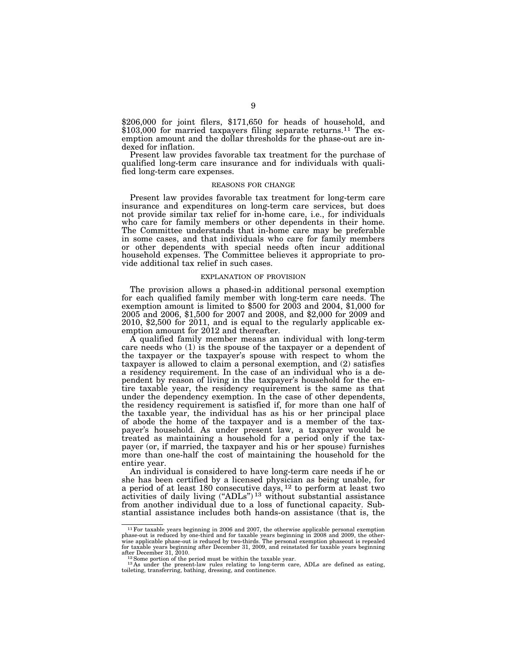\$206,000 for joint filers, \$171,650 for heads of household, and \$103,000 for married taxpayers filing separate returns.<sup>11</sup> The exemption amount and the dollar thresholds for the phase-out are indexed for inflation.

Present law provides favorable tax treatment for the purchase of qualified long-term care insurance and for individuals with qualified long-term care expenses.

#### REASONS FOR CHANGE

Present law provides favorable tax treatment for long-term care insurance and expenditures on long-term care services, but does not provide similar tax relief for in-home care, i.e., for individuals who care for family members or other dependents in their home. The Committee understands that in-home care may be preferable in some cases, and that individuals who care for family members or other dependents with special needs often incur additional household expenses. The Committee believes it appropriate to provide additional tax relief in such cases.

#### EXPLANATION OF PROVISION

The provision allows a phased-in additional personal exemption for each qualified family member with long-term care needs. The exemption amount is limited to \$500 for 2003 and 2004, \$1,000 for 2005 and 2006, \$1,500 for 2007 and 2008, and \$2,000 for 2009 and 2010, \$2,500 for 2011, and is equal to the regularly applicable exemption amount for 2012 and thereafter.

A qualified family member means an individual with long-term care needs who (1) is the spouse of the taxpayer or a dependent of the taxpayer or the taxpayer's spouse with respect to whom the taxpayer is allowed to claim a personal exemption, and (2) satisfies a residency requirement. In the case of an individual who is a dependent by reason of living in the taxpayer's household for the entire taxable year, the residency requirement is the same as that under the dependency exemption. In the case of other dependents, the residency requirement is satisfied if, for more than one half of the taxable year, the individual has as his or her principal place of abode the home of the taxpayer and is a member of the taxpayer's household. As under present law, a taxpayer would be treated as maintaining a household for a period only if the taxpayer (or, if married, the taxpayer and his or her spouse) furnishes more than one-half the cost of maintaining the household for the entire year.

An individual is considered to have long-term care needs if he or she has been certified by a licensed physician as being unable, for a period of at least 180 consecutive days, 12 to perform at least two activities of daily living (''ADLs'') 13 without substantial assistance from another individual due to a loss of functional capacity. Substantial assistance includes both hands-on assistance (that is, the

 $^{11}$  For taxable years beginning in 2006 and 2007, the otherwise applicable personal exemption phase-out is reduced by one-third and for taxable years beginning in 2008 and 2009, the otherwise applicable phase-out is re

after December 31, 2010.<br><sup>12</sup> Some portion of the period must be within the taxable year.<br><sup>13</sup> As under the present-law rules relating to long-term care, ADLs are defined as eating,<br>toileting, transferring, bathing, dressi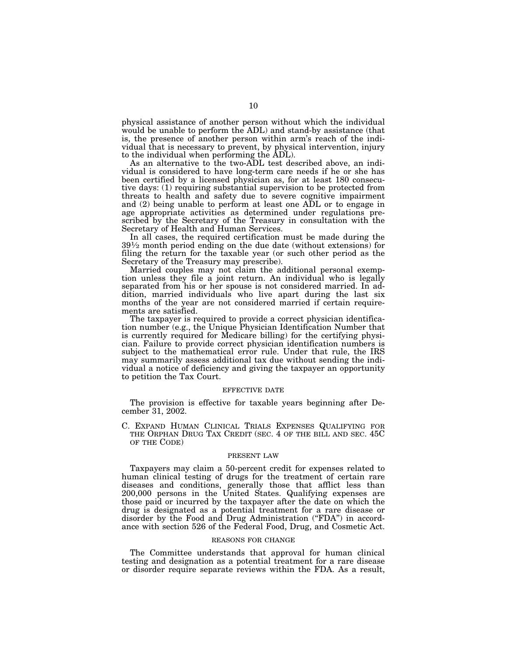physical assistance of another person without which the individual would be unable to perform the ADL) and stand-by assistance (that is, the presence of another person within arm's reach of the individual that is necessary to prevent, by physical intervention, injury to the individual when performing the ADL).

As an alternative to the two-ADL test described above, an individual is considered to have long-term care needs if he or she has been certified by a licensed physician as, for at least 180 consecutive days: (1) requiring substantial supervision to be protected from threats to health and safety due to severe cognitive impairment and (2) being unable to perform at least one ADL or to engage in age appropriate activities as determined under regulations prescribed by the Secretary of the Treasury in consultation with the Secretary of Health and Human Services.

In all cases, the required certification must be made during the 391⁄2 month period ending on the due date (without extensions) for filing the return for the taxable year (or such other period as the Secretary of the Treasury may prescribe).

Married couples may not claim the additional personal exemption unless they file a joint return. An individual who is legally separated from his or her spouse is not considered married. In addition, married individuals who live apart during the last six months of the year are not considered married if certain requirements are satisfied.

The taxpayer is required to provide a correct physician identification number (e.g., the Unique Physician Identification Number that is currently required for Medicare billing) for the certifying physician. Failure to provide correct physician identification numbers is subject to the mathematical error rule. Under that rule, the IRS may summarily assess additional tax due without sending the individual a notice of deficiency and giving the taxpayer an opportunity to petition the Tax Court.

#### EFFECTIVE DATE

The provision is effective for taxable years beginning after December 31, 2002.

C. EXPAND HUMAN CLINICAL TRIALS EXPENSES QUALIFYING FOR THE ORPHAN DRUG TAX CREDIT (SEC. 4 OF THE BILL AND SEC. 45C OF THE CODE)

#### PRESENT LAW

Taxpayers may claim a 50-percent credit for expenses related to human clinical testing of drugs for the treatment of certain rare diseases and conditions, generally those that afflict less than 200,000 persons in the United States. Qualifying expenses are those paid or incurred by the taxpayer after the date on which the drug is designated as a potential treatment for a rare disease or disorder by the Food and Drug Administration ("FDA") in accordance with section 526 of the Federal Food, Drug, and Cosmetic Act.

#### REASONS FOR CHANGE

The Committee understands that approval for human clinical testing and designation as a potential treatment for a rare disease or disorder require separate reviews within the FDA. As a result,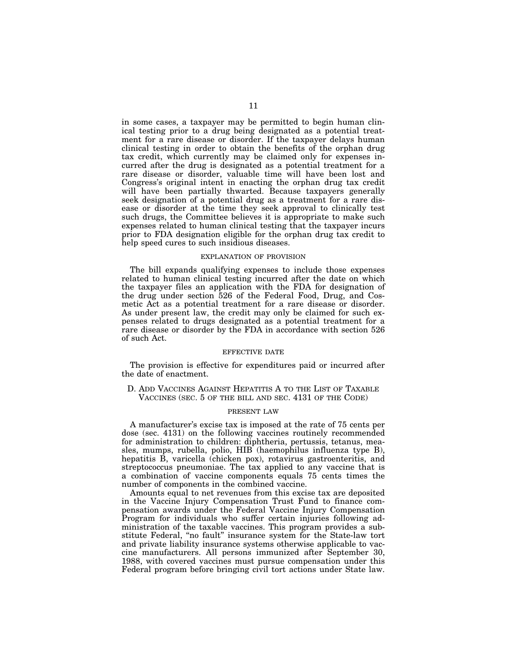in some cases, a taxpayer may be permitted to begin human clinical testing prior to a drug being designated as a potential treatment for a rare disease or disorder. If the taxpayer delays human clinical testing in order to obtain the benefits of the orphan drug tax credit, which currently may be claimed only for expenses incurred after the drug is designated as a potential treatment for a rare disease or disorder, valuable time will have been lost and Congress's original intent in enacting the orphan drug tax credit will have been partially thwarted. Because taxpayers generally seek designation of a potential drug as a treatment for a rare disease or disorder at the time they seek approval to clinically test such drugs, the Committee believes it is appropriate to make such expenses related to human clinical testing that the taxpayer incurs prior to FDA designation eligible for the orphan drug tax credit to help speed cures to such insidious diseases.

#### EXPLANATION OF PROVISION

The bill expands qualifying expenses to include those expenses related to human clinical testing incurred after the date on which the taxpayer files an application with the FDA for designation of the drug under section 526 of the Federal Food, Drug, and Cosmetic Act as a potential treatment for a rare disease or disorder. As under present law, the credit may only be claimed for such expenses related to drugs designated as a potential treatment for a rare disease or disorder by the FDA in accordance with section 526 of such Act.

#### EFFECTIVE DATE

The provision is effective for expenditures paid or incurred after the date of enactment.

D. ADD VACCINES AGAINST HEPATITIS A TO THE LIST OF TAXABLE VACCINES (SEC. 5 OF THE BILL AND SEC. 4131 OF THE CODE)

#### PRESENT LAW

A manufacturer's excise tax is imposed at the rate of 75 cents per dose (sec. 4131) on the following vaccines routinely recommended for administration to children: diphtheria, pertussis, tetanus, measles, mumps, rubella, polio, HIB (haemophilus influenza type B), hepatitis B, varicella (chicken pox), rotavirus gastroenteritis, and streptococcus pneumoniae. The tax applied to any vaccine that is a combination of vaccine components equals 75 cents times the number of components in the combined vaccine.

Amounts equal to net revenues from this excise tax are deposited in the Vaccine Injury Compensation Trust Fund to finance compensation awards under the Federal Vaccine Injury Compensation Program for individuals who suffer certain injuries following administration of the taxable vaccines. This program provides a substitute Federal, ''no fault'' insurance system for the State-law tort and private liability insurance systems otherwise applicable to vaccine manufacturers. All persons immunized after September 30, 1988, with covered vaccines must pursue compensation under this Federal program before bringing civil tort actions under State law.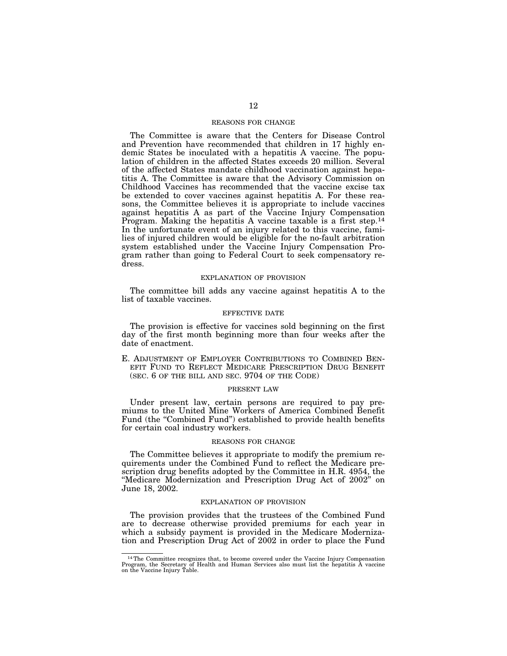#### REASONS FOR CHANGE

The Committee is aware that the Centers for Disease Control and Prevention have recommended that children in 17 highly endemic States be inoculated with a hepatitis A vaccine. The population of children in the affected States exceeds 20 million. Several of the affected States mandate childhood vaccination against hepatitis A. The Committee is aware that the Advisory Commission on Childhood Vaccines has recommended that the vaccine excise tax be extended to cover vaccines against hepatitis A. For these reasons, the Committee believes it is appropriate to include vaccines against hepatitis A as part of the Vaccine Injury Compensation Program. Making the hepatitis A vaccine taxable is a first step.14 In the unfortunate event of an injury related to this vaccine, families of injured children would be eligible for the no-fault arbitration system established under the Vaccine Injury Compensation Program rather than going to Federal Court to seek compensatory redress.

#### EXPLANATION OF PROVISION

The committee bill adds any vaccine against hepatitis A to the list of taxable vaccines.

#### EFFECTIVE DATE

The provision is effective for vaccines sold beginning on the first day of the first month beginning more than four weeks after the date of enactment.

E. ADJUSTMENT OF EMPLOYER CONTRIBUTIONS TO COMBINED BEN-EFIT FUND TO REFLECT MEDICARE PRESCRIPTION DRUG BENEFIT (SEC. 6 OF THE BILL AND SEC. 9704 OF THE CODE)

#### PRESENT LAW

Under present law, certain persons are required to pay premiums to the United Mine Workers of America Combined Benefit Fund (the "Combined Fund") established to provide health benefits for certain coal industry workers.

#### REASONS FOR CHANGE

The Committee believes it appropriate to modify the premium requirements under the Combined Fund to reflect the Medicare prescription drug benefits adopted by the Committee in H.R. 4954, the ''Medicare Modernization and Prescription Drug Act of 2002'' on June 18, 2002.

#### EXPLANATION OF PROVISION

The provision provides that the trustees of the Combined Fund are to decrease otherwise provided premiums for each year in which a subsidy payment is provided in the Medicare Modernization and Prescription Drug Act of 2002 in order to place the Fund

<sup>14</sup>The Committee recognizes that, to become covered under the Vaccine Injury Compensation Program, the Secretary of Health and Human Services also must list the hepatitis A vaccine on the Vaccine Injury Table.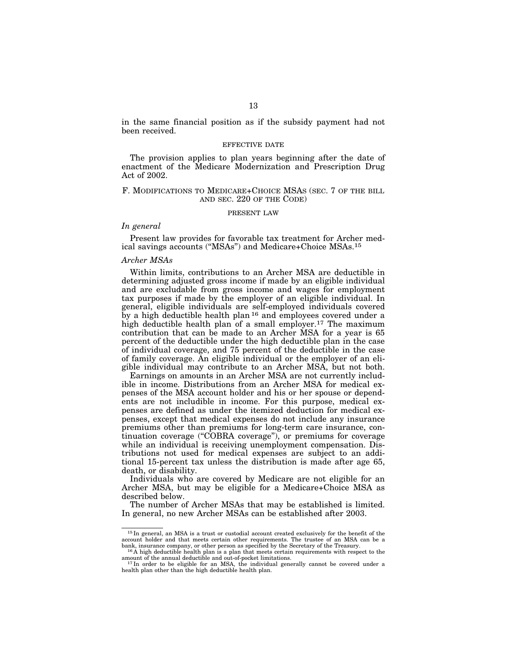in the same financial position as if the subsidy payment had not been received.

#### EFFECTIVE DATE

The provision applies to plan years beginning after the date of enactment of the Medicare Modernization and Prescription Drug Act of 2002.

#### F. MODIFICATIONS TO MEDICARE+CHOICE MSAS (SEC. 7 OF THE BILL AND SEC. 220 OF THE CODE)

#### PRESENT LAW

#### *In general*

Present law provides for favorable tax treatment for Archer medical savings accounts (''MSAs'') and Medicare+Choice MSAs.15

#### *Archer MSAs*

Within limits, contributions to an Archer MSA are deductible in determining adjusted gross income if made by an eligible individual and are excludable from gross income and wages for employment tax purposes if made by the employer of an eligible individual. In general, eligible individuals are self-employed individuals covered by a high deductible health plan 16 and employees covered under a high deductible health plan of a small employer.<sup>17</sup> The maximum contribution that can be made to an Archer MSA for a year is 65 percent of the deductible under the high deductible plan in the case of individual coverage, and 75 percent of the deductible in the case of family coverage. An eligible individual or the employer of an eligible individual may contribute to an Archer MSA, but not both.

Earnings on amounts in an Archer MSA are not currently includible in income. Distributions from an Archer MSA for medical expenses of the MSA account holder and his or her spouse or dependents are not includible in income. For this purpose, medical expenses are defined as under the itemized deduction for medical expenses, except that medical expenses do not include any insurance premiums other than premiums for long-term care insurance, continuation coverage (''COBRA coverage''), or premiums for coverage while an individual is receiving unemployment compensation. Distributions not used for medical expenses are subject to an additional 15-percent tax unless the distribution is made after age 65, death, or disability.

Individuals who are covered by Medicare are not eligible for an Archer MSA, but may be eligible for a Medicare+Choice MSA as described below.

The number of Archer MSAs that may be established is limited. In general, no new Archer MSAs can be established after 2003.

<sup>15</sup> In general, an MSA is a trust or custodial account created exclusively for the benefit of the account holder and that meets certain other requirements. The trustee of an MSA can be a bank, insurance company, or other person as specified by the Secretary of the Treasury.

 $^{16}$ A high deductible health plan is a plan that meets certain requirements with respect to the amount of the annual deductible and out-of-pocket limitations.

<sup>&</sup>lt;sup>17</sup>In order to be eligible for an MSA, the individual generally cannot be covered under a health plan other than the high deductible health plan.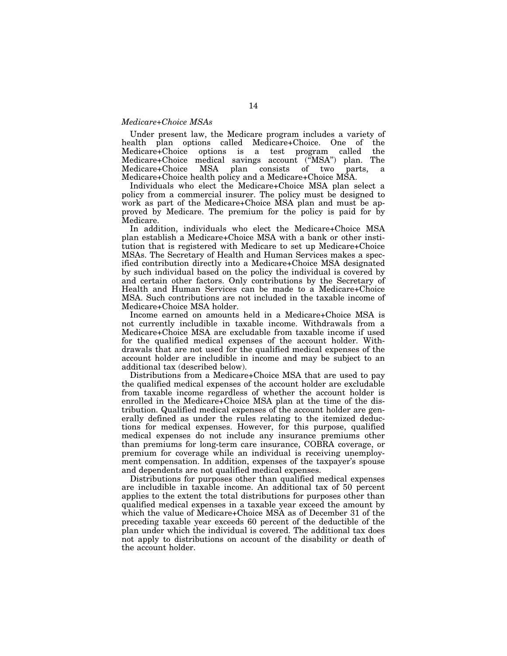#### *Medicare+Choice MSAs*

Under present law, the Medicare program includes a variety of health plan options called Medicare+Choice. One of the Medicare+Choice options is a test program called the Medicare+Choice medical savings account (''MSA'') plan. The Medicare+Choice MSA plan consists of two parts, a Medicare+Choice health policy and a Medicare+Choice MSA.

Individuals who elect the Medicare+Choice MSA plan select a policy from a commercial insurer. The policy must be designed to work as part of the Medicare+Choice MSA plan and must be approved by Medicare. The premium for the policy is paid for by Medicare.

In addition, individuals who elect the Medicare+Choice MSA plan establish a Medicare+Choice MSA with a bank or other institution that is registered with Medicare to set up Medicare+Choice MSAs. The Secretary of Health and Human Services makes a specified contribution directly into a Medicare+Choice MSA designated by such individual based on the policy the individual is covered by and certain other factors. Only contributions by the Secretary of Health and Human Services can be made to a Medicare+Choice MSA. Such contributions are not included in the taxable income of Medicare+Choice MSA holder.

Income earned on amounts held in a Medicare+Choice MSA is not currently includible in taxable income. Withdrawals from a Medicare+Choice MSA are excludable from taxable income if used for the qualified medical expenses of the account holder. Withdrawals that are not used for the qualified medical expenses of the account holder are includible in income and may be subject to an additional tax (described below).

Distributions from a Medicare+Choice MSA that are used to pay the qualified medical expenses of the account holder are excludable from taxable income regardless of whether the account holder is enrolled in the Medicare+Choice MSA plan at the time of the distribution. Qualified medical expenses of the account holder are generally defined as under the rules relating to the itemized deductions for medical expenses. However, for this purpose, qualified medical expenses do not include any insurance premiums other than premiums for long-term care insurance, COBRA coverage, or premium for coverage while an individual is receiving unemployment compensation. In addition, expenses of the taxpayer's spouse and dependents are not qualified medical expenses.

Distributions for purposes other than qualified medical expenses are includible in taxable income. An additional tax of 50 percent applies to the extent the total distributions for purposes other than qualified medical expenses in a taxable year exceed the amount by which the value of Medicare+Choice MSA as of December 31 of the preceding taxable year exceeds 60 percent of the deductible of the plan under which the individual is covered. The additional tax does not apply to distributions on account of the disability or death of the account holder.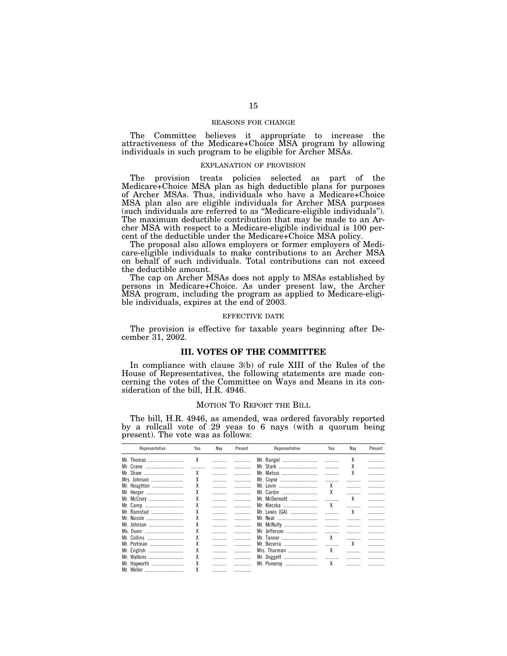#### REASONS FOR CHANGE

The Committee believes it appropriate to increase the attractiveness of the Medicare+Choice MSA program by allowing individuals in such program to be eligible for Archer MSAs.

#### EXPLANATION OF PROVISION

The provision treats policies selected as part of the Medicare+Choice MSA plan as high deductible plans for purposes of Archer MSAs. Thus, individuals who have a Medicare+Choice MSA plan also are eligible individuals for Archer MSA purposes (such individuals are referred to as ''Medicare-eligible individuals''). The maximum deductible contribution that may be made to an Archer MSA with respect to a Medicare-eligible individual is 100 percent of the deductible under the Medicare+Choice MSA policy.

The proposal also allows employers or former employers of Medicare-eligible individuals to make contributions to an Archer MSA on behalf of such individuals. Total contributions can not exceed the deductible amount.

The cap on Archer MSAs does not apply to MSAs established by persons in Medicare+Choice. As under present law, the Archer MSA program, including the program as applied to Medicare-eligible individuals, expires at the end of 2003.

#### EFFECTIVE DATE

The provision is effective for taxable years beginning after December 31, 2002.

#### **III. VOTES OF THE COMMITTEE**

In compliance with clause 3(b) of rule XIII of the Rules of the House of Representatives, the following statements are made concerning the votes of the Committee on Ways and Means in its consideration of the bill, H.R. 4946.

#### MOTION TO REPORT THE BILL

The bill, H.R. 4946, as amended, was ordered favorably reported by a rollcall vote of 29 yeas to 6 nays (with a quorum being present). The vote was as follows:

| Representative | Yea | Nay | Present | Representative | Yea | Nav | Present |
|----------------|-----|-----|---------|----------------|-----|-----|---------|
| Mr. Thomas     | χ   |     |         | Mr. Rangel     |     | χ   |         |
|                |     |     |         | Mr. Stark      |     |     |         |
| Mr. Shaw       | χ   |     |         | Mr. Matsui     |     | χ   |         |
| Mrs. Johnson   | χ   |     |         | Mr. Coyne      |     |     |         |
| Mr. Houghton   |     |     |         | Mr. Levin      |     |     |         |
| Mr. Herger     | χ   |     |         | Mr. Cardin     | χ   |     |         |
| Mr. McCrery    | χ   |     | .       | Mr. McDermott  |     | χ   |         |
| Mr. Camp       | χ   |     |         | Mr. Kleczka    | χ   |     |         |
| Mr. Ramstad    | χ   |     |         | Mr. Lewis (GA) |     | χ   |         |
| Mr. Nussle     | χ   |     |         | Mr. Neal       |     |     | .       |
| Mr. Johnson    |     |     |         | Mr. McNulty    |     |     | .       |
| Ms. Dunn       |     |     |         | Mr. Jefferson  |     |     |         |
| Mr. Collins    |     |     |         | Mr. Tanner     |     |     | .       |
| Mr. Portman    | χ   |     |         | Mr. Becerra    |     | χ   |         |
| Mr. English    |     | .   |         | Mrs. Thurman   | χ   |     |         |
| Mr. Watkins    | χ   |     |         |                |     |     |         |
| Mr. Hayworth   |     |     |         | Mr. Pomeroy    | х   |     |         |
|                | χ   |     |         |                |     |     |         |
| Mr. Weller     |     |     |         |                |     |     |         |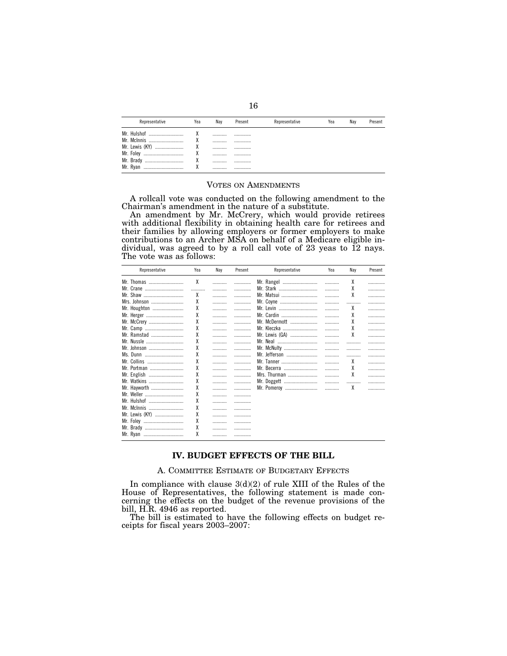| Representative | Yea | Nav | Present | Representative | Yea | Nav | Present |
|----------------|-----|-----|---------|----------------|-----|-----|---------|
| Mr. Hulshof    |     |     |         |                |     |     |         |
| Mr. McInnis    |     |     |         |                |     |     |         |
| Mr. Lewis (KY) |     |     |         |                |     |     |         |
| Mr. Foley<br>  |     |     |         |                |     |     |         |
| Mr. Brady<br>  | ٧   |     |         |                |     |     |         |
| Mr. Rvan<br>   |     |     |         |                |     |     |         |

#### VOTES ON AMENDMENTS

A rollcall vote was conducted on the following amendment to the Chairman's amendment in the nature of a substitute.

An amendment by Mr. McCrery, which would provide retirees with additional flexibility in obtaining health care for retirees and their families by allowing employers or former employers to make contributions to an Archer MSA on behalf of a Medicare eligible individual, was agreed to by a roll call vote of 23 yeas to 12 nays. The vote was as follows:

| Representative | Yea | Nay | Present | Representative | Yea | Nay | Present |
|----------------|-----|-----|---------|----------------|-----|-----|---------|
| Mr. Thomas     | χ   |     | .       | Mr. Rangel     |     | χ   | .       |
| Mr. Crane      |     |     |         | Mr. Stark      |     | χ   | .       |
| Mr. Shaw       | X   |     |         | Mr. Matsui     |     | χ   | .       |
| Mrs. Johnson   | χ   |     | .       | Mr. Coyne      |     |     | .       |
| Mr. Houghton   | X   |     |         | Mr. Levin      |     | χ   | .       |
| Mr. Herger     | χ   |     |         | Mr. Cardin     |     | χ   | .       |
| Mr. McCrery    | χ   |     | .       | Mr. McDermott  |     | χ   | .       |
| Mr. Camp       | X   |     | .       | Mr. Kleczka    |     | χ   | .       |
| Mr. Ramstad    | χ   |     | .       | Mr. Lewis (GA) |     | χ   | .       |
| Mr. Nussle     | X   |     | .       | Mr. Neal       |     |     | .       |
| Mr. Johnson    | X   |     |         | Mr. McNulty    |     |     | .       |
| Ms. Dunn       | χ   |     | .       | Mr. Jefferson  |     |     | .       |
| Mr. Collins    | X   |     |         | Mr. Tanner     |     | χ   | .       |
| Mr. Portman    | χ   |     | .       | Mr. Becerra    |     | χ   | .       |
| Mr. English    | χ   |     | .       | Mrs. Thurman   | .   | χ   | .       |
| Mr. Watkins    | χ   | .   |         | Mr. Doggett    |     |     |         |
| Mr. Hayworth   | χ   |     | .       | Mr. Pomeroy    | .   | χ   | .       |
| Mr. Weller     | X   |     | .       |                |     |     |         |
| Mr. Hulshof    | X   |     | .       |                |     |     |         |
| Mr. McInnis    | X   | .   | .       |                |     |     |         |
| Mr. Lewis (KY) | χ   |     | .       |                |     |     |         |
| Mr. Foley      | χ   | .   | .       |                |     |     |         |
|                | X   |     | .       |                |     |     |         |
| Mr. Ryan       | χ   |     |         |                |     |     |         |

# **IV. BUDGET EFFECTS OF THE BILL**

A. COMMITTEE ESTIMATE OF BUDGETARY EFFECTS

In compliance with clause  $3(d)(2)$  of rule XIII of the Rules of the House of Representatives, the following statement is made concerning the effects on the budget of the revenue provisions of the bill, H.R. 4946 as reported.

The bill is estimated to have the following effects on budget receipts for fiscal years 2003–2007: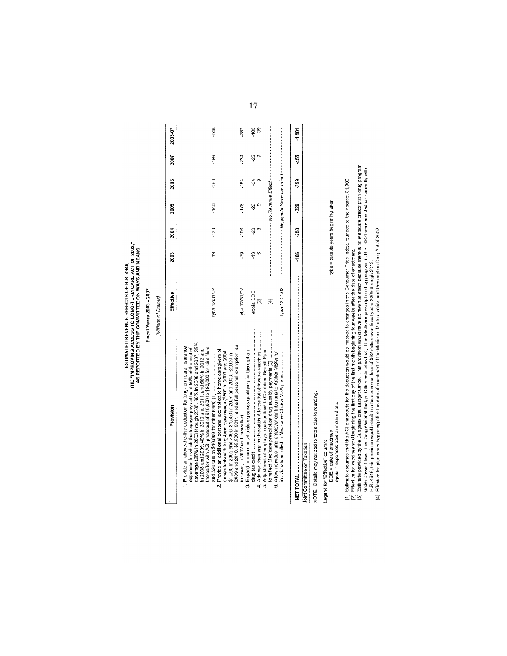# ESTIMATED REVENUE EFFECTS OF H.R. 4946,<br>THE "IMPROVING ACCESS TO LONG-TERM CARE ACT OF 2002."<br>AS REPORTED BY THE COMMITTEE ON WAYS AND MEANS

# Fiscal Years 2003 - 2007 [Millions of Dollars]

| Provision                                                                                                                                                                                                                                                                                                                                                                                                                                                                                                                                                   | Effective                            | 2003            | 2004   | 2005   | 2006   | 2007      | 2003-07  |
|-------------------------------------------------------------------------------------------------------------------------------------------------------------------------------------------------------------------------------------------------------------------------------------------------------------------------------------------------------------------------------------------------------------------------------------------------------------------------------------------------------------------------------------------------------------|--------------------------------------|-----------------|--------|--------|--------|-----------|----------|
| coverage (25% in 2003 through 2005, 30% in 2006 and 2007, 35%<br>1. Provide an above-the-line deduction for long-term care insurance<br>expenses for which the taxpayer pays at least 50% of the cost of<br>thereafter with AGI phaseout of \$40,000 to \$80,000 for joint filers<br>in 2008 and 2009, 40% in 2010 and 2011, and 50% in 2012 and<br>Provide an additional personal exemption to home caregivers of<br>dependents with long-term care needs (\$500 in 2003 and 2004.<br>\$1,000 in 2005 and 2006, \$1,500 in 2007 and 2008, \$2,000 in<br>2. | tyba 12/31/02                        | ج<br>ب          | $-130$ | $-140$ | -160   | -199      | -648     |
| 2009 and 2010, \$2,500 in 2011, and a full personal exemption, as                                                                                                                                                                                                                                                                                                                                                                                                                                                                                           | tyba 12/31/02                        | -79             | 108    | -176   | $-184$ | 239       | -787     |
| 4. Add vaccines against Hepatitis A to the list of taxable vaccines<br>Expand human clinical trials expenses qualifying for the orphan<br>က်                                                                                                                                                                                                                                                                                                                                                                                                                | epoia DOE<br>$\overline{\mathbf{z}}$ | ę               | Ş      | Ķ      | -24    | O)<br>-26 | 105<br>3 |
| 5. Adjustment of employer contributions to Combined Benefit Fund                                                                                                                                                                                                                                                                                                                                                                                                                                                                                            | E                                    |                 |        |        |        |           |          |
| 6. Allow individual and employer contributions to Archer MSAs for                                                                                                                                                                                                                                                                                                                                                                                                                                                                                           | tyba 12/31/02                        |                 |        |        |        |           |          |
|                                                                                                                                                                                                                                                                                                                                                                                                                                                                                                                                                             |                                      | $\frac{6}{100}$ | -250   | -329   | -359   | -455      | $-1,501$ |
| Joint Committee on Taxation                                                                                                                                                                                                                                                                                                                                                                                                                                                                                                                                 |                                      |                 |        |        |        |           |          |

NOTE: Details may not add to totals due to rounding.

Legend for "Effective" column:<br>DOE = date of enactment<br>epoia = expenses paid or incurred after

tyba = taxable years beginning after

[1] Estimate assumes that the AGI phaseouts for the deduction would be indexed to changes in the Consumer Price Index, rounded to the nearest \$1,000.<br>[2] Effective for vaccines sold beginning the first day of the first mon

17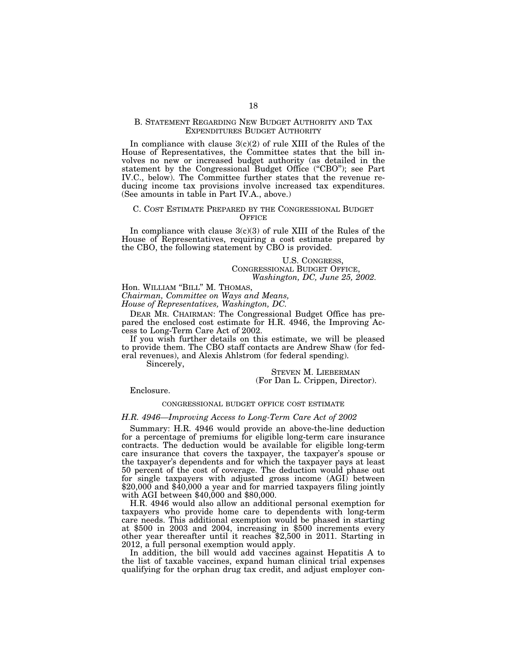#### B. STATEMENT REGARDING NEW BUDGET AUTHORITY AND TAX EXPENDITURES BUDGET AUTHORITY

In compliance with clause  $3(c)(2)$  of rule XIII of the Rules of the House of Representatives, the Committee states that the bill involves no new or increased budget authority (as detailed in the statement by the Congressional Budget Office ("CBO"); see Part IV.C., below). The Committee further states that the revenue reducing income tax provisions involve increased tax expenditures. (See amounts in table in Part IV.A., above.)

#### C. COST ESTIMATE PREPARED BY THE CONGRESSIONAL BUDGET **OFFICE**

In compliance with clause  $3(c)(3)$  of rule XIII of the Rules of the House of Representatives, requiring a cost estimate prepared by the CBO, the following statement by CBO is provided.

> U.S. CONGRESS, CONGRESSIONAL BUDGET OFFICE, *Washington, DC, June 25, 2002.*

Hon. WILLIAM ''BILL'' M. THOMAS,

*Chairman, Committee on Ways and Means,* 

*House of Representatives, Washington, DC.* 

DEAR MR. CHAIRMAN: The Congressional Budget Office has prepared the enclosed cost estimate for H.R. 4946, the Improving Access to Long-Term Care Act of 2002.

If you wish further details on this estimate, we will be pleased to provide them. The CBO staff contacts are Andrew Shaw (for federal revenues), and Alexis Ahlstrom (for federal spending).

Sincerely,

STEVEN M. LIEBERMAN (For Dan L. Crippen, Director).

Enclosure.

#### CONGRESSIONAL BUDGET OFFICE COST ESTIMATE

#### *H.R. 4946—Improving Access to Long-Term Care Act of 2002*

Summary: H.R. 4946 would provide an above-the-line deduction for a percentage of premiums for eligible long-term care insurance contracts. The deduction would be available for eligible long-term care insurance that covers the taxpayer, the taxpayer's spouse or the taxpayer's dependents and for which the taxpayer pays at least 50 percent of the cost of coverage. The deduction would phase out for single taxpayers with adjusted gross income (AGI) between  $$20,000$  and  $$40,000$  a year and for married taxpayers filing jointly with AGI between \$40,000 and \$80,000.

H.R. 4946 would also allow an additional personal exemption for taxpayers who provide home care to dependents with long-term care needs. This additional exemption would be phased in starting at \$500 in 2003 and 2004, increasing in \$500 increments every other year thereafter until it reaches \$2,500 in 2011. Starting in 2012, a full personal exemption would apply.

In addition, the bill would add vaccines against Hepatitis A to the list of taxable vaccines, expand human clinical trial expenses qualifying for the orphan drug tax credit, and adjust employer con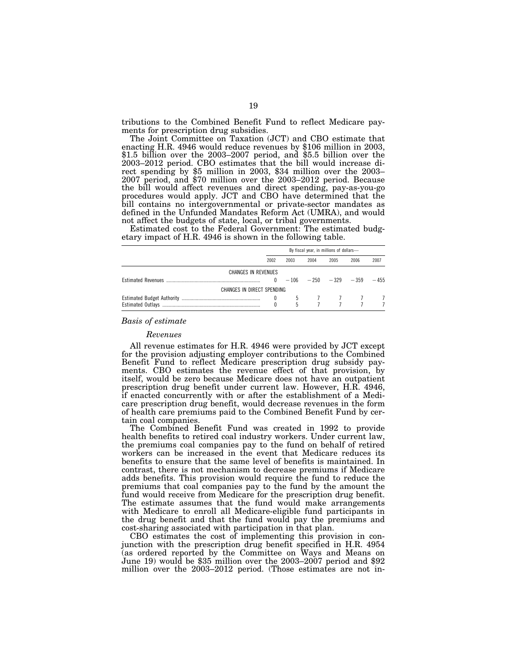tributions to the Combined Benefit Fund to reflect Medicare payments for prescription drug subsidies.

The Joint Committee on Taxation (JCT) and CBO estimate that enacting H.R. 4946 would reduce revenues by \$106 million in 2003, \$1.5 billion over the 2003–2007 period, and \$5.5 billion over the rect spending by \$5 million in 2003, \$34 million over the 2003–2007 period, and \$70 million over the 2003–2012 period. Because the bill would affect revenues and direct spending, pay-as-you-go procedures would apply. JCT and CBO have determined that the bill contains no intergovernmental or private-sector mandates as defined in the Unfunded Mandates Reform Act (UMRA), and would not affect the budgets of state, local, or tribal governments.

Estimated cost to the Federal Government: The estimated budgetary impact of H.R. 4946 is shown in the following table.

|                            |      |      |      | By fiscal year, in millions of dollars-                                                 |      |        |
|----------------------------|------|------|------|-----------------------------------------------------------------------------------------|------|--------|
|                            | 2002 | 2003 | 2004 | 2005                                                                                    | 2006 | 2007   |
| CHANGES IN REVENUES        |      |      |      |                                                                                         |      |        |
|                            |      |      |      | $0 -106 -250 -329 -359$                                                                 |      | $-455$ |
| CHANGES IN DIRECT SPENDING |      |      |      |                                                                                         |      |        |
|                            |      |      |      | $\begin{array}{ccccccccc}\n0 & 5 & 7 & 7 & 7 & 7 \\ 0 & 5 & 7 & 7 & 7 & 7\n\end{array}$ |      |        |

#### *Basis of estimate*

#### *Revenues*

All revenue estimates for H.R. 4946 were provided by JCT except for the provision adjusting employer contributions to the Combined Benefit Fund to reflect Medicare prescription drug subsidy payments. CBO estimates the revenue effect of that provision, by itself, would be zero because Medicare does not have an outpatient prescription drug benefit under current law. However, H.R. 4946, if enacted concurrently with or after the establishment of a Medicare prescription drug benefit, would decrease revenues in the form of health care premiums paid to the Combined Benefit Fund by certain coal companies.

The Combined Benefit Fund was created in 1992 to provide health benefits to retired coal industry workers. Under current law, the premiums coal companies pay to the fund on behalf of retired workers can be increased in the event that Medicare reduces its benefits to ensure that the same level of benefits is maintained. In contrast, there is not mechanism to decrease premiums if Medicare adds benefits. This provision would require the fund to reduce the premiums that coal companies pay to the fund by the amount the fund would receive from Medicare for the prescription drug benefit. The estimate assumes that the fund would make arrangements with Medicare to enroll all Medicare-eligible fund participants in the drug benefit and that the fund would pay the premiums and cost-sharing associated with participation in that plan.

CBO estimates the cost of implementing this provision in conjunction with the prescription drug benefit specified in H.R. 4954 (as ordered reported by the Committee on Ways and Means on June 19) would be \$35 million over the 2003–2007 period and \$92 million over the 2003–2012 period. (Those estimates are not in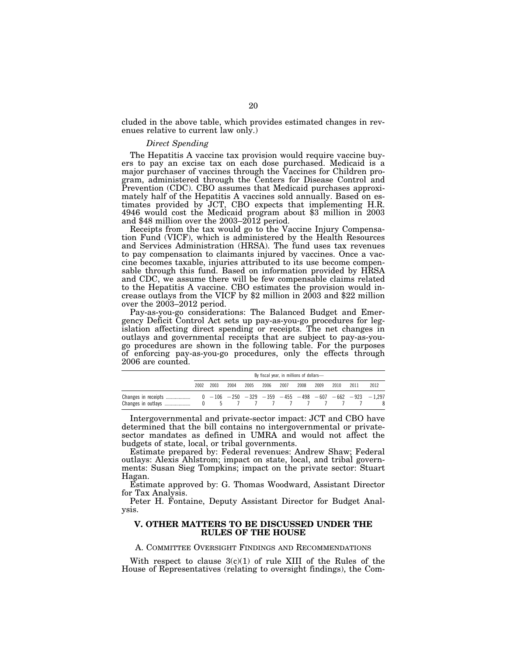cluded in the above table, which provides estimated changes in revenues relative to current law only.)

#### *Direct Spending*

The Hepatitis A vaccine tax provision would require vaccine buyers to pay an excise tax on each dose purchased. Medicaid is a major purchaser of vaccines through the Vaccines for Children program, administered through the Centers for Disease Control and Prevention (CDC). CBO assumes that Medicaid purchases approximately half of the Hepatitis A vaccines sold annually. Based on estimates provided by JCT, CBO expects that implementing H.R. 4946 would cost the Medicaid program about \$3 million in 2003 and \$48 million over the 2003–2012 period.

Receipts from the tax would go to the Vaccine Injury Compensation Fund (VICF), which is administered by the Health Resources and Services Administration (HRSA). The fund uses tax revenues to pay compensation to claimants injured by vaccines. Once a vaccine becomes taxable, injuries attributed to its use become compensable through this fund. Based on information provided by HRSA and CDC, we assume there will be few compensable claims related to the Hepatitis A vaccine. CBO estimates the provision would increase outlays from the VICF by \$2 million in 2003 and \$22 million over the 2003–2012 period.

Pay-as-you-go considerations: The Balanced Budget and Emergency Deficit Control Act sets up pay-as-you-go procedures for legislation affecting direct spending or receipts. The net changes in outlays and governmental receipts that are subject to pay-as-yougo procedures are shown in the following table. For the purposes of enforcing pay-as-you-go procedures, only the effects through 2006 are counted.

|                                           |      | By fiscal year, in millions of dollars- |       |      |      |      |      |      |      |      |                                                         |
|-------------------------------------------|------|-----------------------------------------|-------|------|------|------|------|------|------|------|---------------------------------------------------------|
|                                           | 2002 | 2003                                    | 2004  | 2005 | 2006 | 2007 | 2008 | 2009 | 2010 | 2011 | 2012                                                    |
| Changes in receipts<br>Changes in outlays |      |                                         | $5 -$ |      |      |      |      |      |      |      | $0 -106 -250 -329 -359 -455 -498 -607 -662 -923 -1,297$ |

Intergovernmental and private-sector impact: JCT and CBO have determined that the bill contains no intergovernmental or privatesector mandates as defined in UMRA and would not affect the budgets of state, local, or tribal governments.

Estimate prepared by: Federal revenues: Andrew Shaw; Federal outlays: Alexis Ahlstrom; impact on state, local, and tribal governments: Susan Sieg Tompkins; impact on the private sector: Stuart Hagan.

Estimate approved by: G. Thomas Woodward, Assistant Director for Tax Analysis.

Peter H. Fontaine, Deputy Assistant Director for Budget Analysis.

#### **V. OTHER MATTERS TO BE DISCUSSED UNDER THE RULES OF THE HOUSE**

A. COMMITTEE OVERSIGHT FINDINGS AND RECOMMENDATIONS

With respect to clause  $3(c)(1)$  of rule XIII of the Rules of the House of Representatives (relating to oversight findings), the Com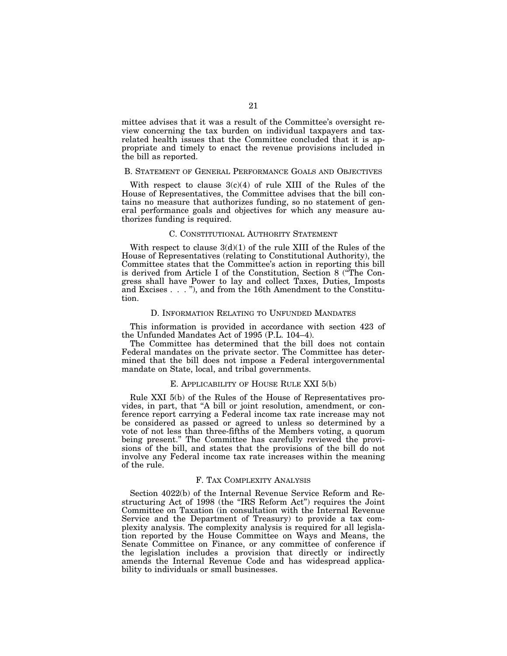mittee advises that it was a result of the Committee's oversight review concerning the tax burden on individual taxpayers and taxrelated health issues that the Committee concluded that it is appropriate and timely to enact the revenue provisions included in the bill as reported.

#### B. STATEMENT OF GENERAL PERFORMANCE GOALS AND OBJECTIVES

With respect to clause  $3(c)(4)$  of rule XIII of the Rules of the House of Representatives, the Committee advises that the bill contains no measure that authorizes funding, so no statement of general performance goals and objectives for which any measure authorizes funding is required.

#### C. CONSTITUTIONAL AUTHORITY STATEMENT

With respect to clause  $3(d)(1)$  of the rule XIII of the Rules of the House of Representatives (relating to Constitutional Authority), the Committee states that the Committee's action in reporting this bill is derived from Article I of the Constitution, Section 8 (''The Congress shall have Power to lay and collect Taxes, Duties, Imposts and Excises . . . ''), and from the 16th Amendment to the Constitution.

#### D. INFORMATION RELATING TO UNFUNDED MANDATES

This information is provided in accordance with section 423 of the Unfunded Mandates Act of 1995 (P.L. 104–4).

The Committee has determined that the bill does not contain Federal mandates on the private sector. The Committee has determined that the bill does not impose a Federal intergovernmental mandate on State, local, and tribal governments.

#### E. APPLICABILITY OF HOUSE RULE XXI 5(b)

Rule XXI 5(b) of the Rules of the House of Representatives provides, in part, that ''A bill or joint resolution, amendment, or conference report carrying a Federal income tax rate increase may not be considered as passed or agreed to unless so determined by a vote of not less than three-fifths of the Members voting, a quorum being present.'' The Committee has carefully reviewed the provisions of the bill, and states that the provisions of the bill do not involve any Federal income tax rate increases within the meaning of the rule.

#### F. TAX COMPLEXITY ANALYSIS

Section 4022(b) of the Internal Revenue Service Reform and Restructuring Act of 1998 (the ''IRS Reform Act'') requires the Joint Committee on Taxation (in consultation with the Internal Revenue Service and the Department of Treasury) to provide a tax complexity analysis. The complexity analysis is required for all legislation reported by the House Committee on Ways and Means, the Senate Committee on Finance, or any committee of conference if the legislation includes a provision that directly or indirectly amends the Internal Revenue Code and has widespread applicability to individuals or small businesses.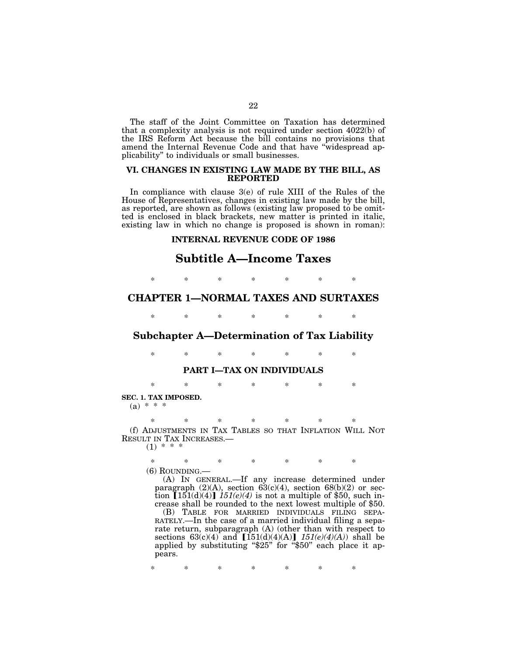The staff of the Joint Committee on Taxation has determined that a complexity analysis is not required under section 4022(b) of the IRS Reform Act because the bill contains no provisions that amend the Internal Revenue Code and that have ''widespread applicability'' to individuals or small businesses.

#### **VI. CHANGES IN EXISTING LAW MADE BY THE BILL, AS REPORTED**

In compliance with clause 3(e) of rule XIII of the Rules of the House of Representatives, changes in existing law made by the bill, as reported, are shown as follows (existing law proposed to be omitted is enclosed in black brackets, new matter is printed in italic, existing law in which no change is proposed is shown in roman):

# **INTERNAL REVENUE CODE OF 1986**

# **Subtitle A—Income Taxes**

\* \* \* \* \* \* \*

# **CHAPTER 1—NORMAL TAXES AND SURTAXES**

\* \* \* \* \* \* \*

# **Subchapter A—Determination of Tax Liability**

\* \* \* \* \* \* \*

# **PART I—TAX ON INDIVIDUALS**

\* \* \* \* \* \* \*

**SEC. 1. TAX IMPOSED.**   $(a) * * *$ 

\* \* \* \* \* \* \* (f) ADJUSTMENTS IN TAX TABLES SO THAT INFLATION WILL NOT RESULT IN TAX INCREASES.— $(1)$  \* \* \*

\* \* \* \* \* \* \*

(6) ROUNDING.—

(A) IN GENERAL.—If any increase determined under paragraph  $(2)(A)$ , section  $63(c)(4)$ , section  $68(b)(2)$  or section  $[151(d)(4)]$  *151(e)(4)* is not a multiple of \$50, such increase shall be rounded to the next lowest multiple of \$50.

(B) TABLE FOR MARRIED INDIVIDUALS FILING SEPA-RATELY.—In the case of a married individual filing a separate return, subparagraph  $(A)$  (other than with respect to sections  $63(c)(4)$  and  $[151(d)(4)(A)]$   $151(e)(4)(A)$  shall be applied by substituting "\$25" for "\$50" each place it appears.

\* \* \* \* \* \* \*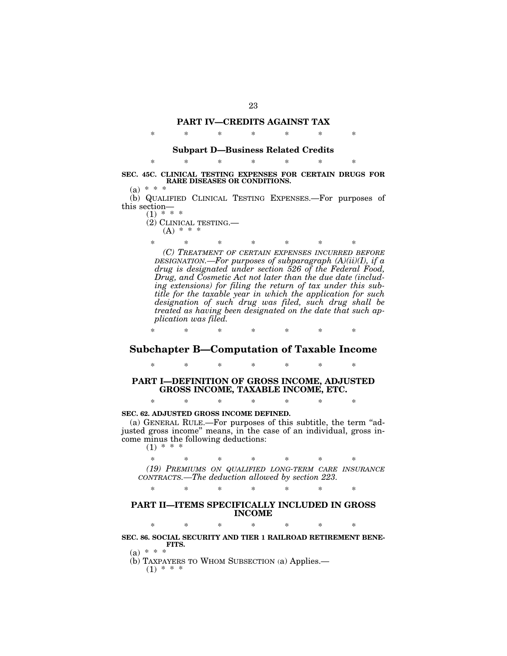### **PART IV—CREDITS AGAINST TAX**

\* \* \* \* \* \* \*

# **Subpart D—Business Related Credits**  \* \* \* \* \* \* \*

**SEC. 45C. CLINICAL TESTING EXPENSES FOR CERTAIN DRUGS FOR RARE DISEASES OR CONDITIONS.** 

 $(a) * * *$ 

(b) QUALIFIED CLINICAL TESTING EXPENSES.—For purposes of this section—

- $(1) * * * *$ (2) CLINICAL TESTING.—  $(A) * * * *$ 
	-

\* \* \* \* \* \* \* *(C) TREATMENT OF CERTAIN EXPENSES INCURRED BEFORE DESIGNATION.—For purposes of subparagraph (A)(ii)(I), if a drug is designated under section 526 of the Federal Food, Drug, and Cosmetic Act not later than the due date (including extensions) for filing the return of tax under this subtitle for the taxable year in which the application for such designation of such drug was filed, such drug shall be treated as having been designated on the date that such application was filed.*

# **Subchapter B—Computation of Taxable Income**

\* \* \* \* \* \* \*

\* \* \* \* \* \* \*

# **PART I—DEFINITION OF GROSS INCOME, ADJUSTED GROSS INCOME, TAXABLE INCOME, ETC.**

\* \* \* \* \* \* \*

#### **SEC. 62. ADJUSTED GROSS INCOME DEFINED.**

(a) GENERAL RULE.—For purposes of this subtitle, the term "adjusted gross income'' means, in the case of an individual, gross income minus the following deductions:

 $(1) * * * *$ 

\* \* \* \* \* \* \*

*(19) PREMIUMS ON QUALIFIED LONG-TERM CARE INSURANCE CONTRACTS.—The deduction allowed by section 223.*

\* \* \* \* \* \* \*

# **PART II—ITEMS SPECIFICALLY INCLUDED IN GROSS INCOME**

\* \* \* \* \* \* \*

**SEC. 86. SOCIAL SECURITY AND TIER 1 RAILROAD RETIREMENT BENE-FITS.** 

 $(a) * * *$ 

(b) TAXPAYERS TO WHOM SUBSECTION (a) Applies.—

 $(1) * * *$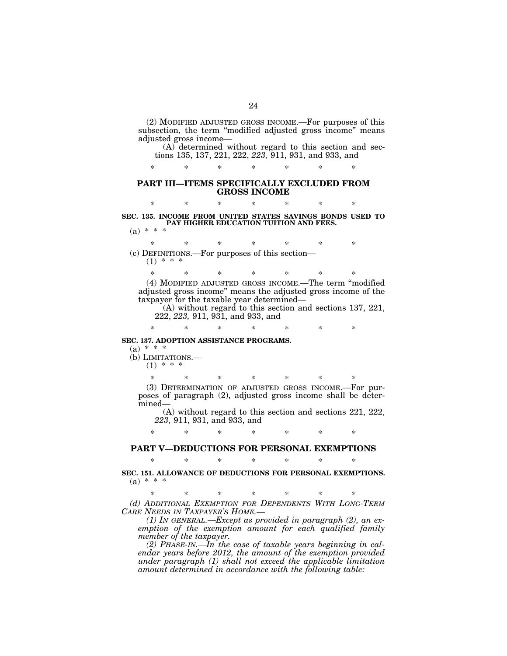(2) MODIFIED ADJUSTED GROSS INCOME.—For purposes of this subsection, the term "modified adjusted gross income" means adjusted gross income— (A) determined without regard to this section and sec-

tions 135, 137, 221, 222, *223,* 911, 931, and 933, and

\* \* \* \* \* \* \*

#### **PART III—ITEMS SPECIFICALLY EXCLUDED FROM GROSS INCOME**

\* \* \* \* \* \* \* **SEC. 135. INCOME FROM UNITED STATES SAVINGS BONDS USED TO PAY HIGHER EDUCATION TUITION AND FEES.**   $(a) * * *$ 

\* \* \* \* \* \* \* (c) DEFINITIONS.—For purposes of this section—  $(1) * * * *$ 

\* \* \* \* \* \* \* (4) MODIFIED ADJUSTED GROSS INCOME.—The term ''modified adjusted gross income'' means the adjusted gross income of the taxpayer for the taxable year determined—

\* \* \* \* \* \* \*

(A) without regard to this section and sections 137, 221, 222, *223,* 911, 931, and 933, and

**SEC. 137. ADOPTION ASSISTANCE PROGRAMS.** 

 $(a) * * *$ 

(b) LIMITATIONS.—  $(1) * * * *$ 

> \* \* \* \* \* \* \* (3) DETERMINATION OF ADJUSTED GROSS INCOME.—For purposes of paragraph (2), adjusted gross income shall be determined—

(A) without regard to this section and sections 221, 222, *223,* 911, 931, and 933, and

# \* \* \* \* \* \* \* **PART V—DEDUCTIONS FOR PERSONAL EXEMPTIONS**  \* \* \* \* \* \* \*

**SEC. 151. ALLOWANCE OF DEDUCTIONS FOR PERSONAL EXEMPTIONS.**   $(a) * * * *$ 

\* \* \* \* \* \* \* *(d) ADDITIONAL EXEMPTION FOR DEPENDENTS WITH LONG-TERM CARE NEEDS IN TAXPAYER'S HOME.—*

*(1) IN GENERAL.—Except as provided in paragraph (2), an exemption of the exemption amount for each qualified family member of the taxpayer.* 

*(2) PHASE-IN.—In the case of taxable years beginning in calendar years before 2012, the amount of the exemption provided under paragraph (1) shall not exceed the applicable limitation amount determined in accordance with the following table:*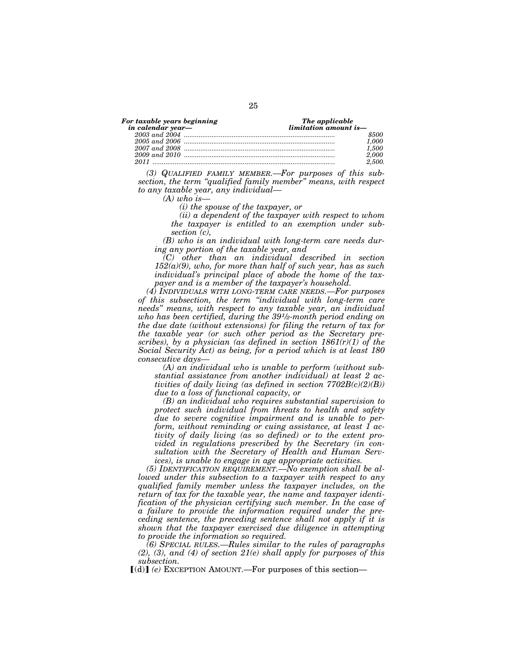|  |  | For taxable years beginning |  |
|--|--|-----------------------------|--|
|  |  |                             |  |

| in calendar year— | $limitation$ amount is- |  |  |
|-------------------|-------------------------|--|--|
|                   | \$500                   |  |  |
|                   | 1.000                   |  |  |
|                   | 1.500                   |  |  |
|                   | 2.000                   |  |  |
|                   | 2.500.                  |  |  |

*(3) QUALIFIED FAMILY MEMBER.—For purposes of this subsection, the term ''qualified family member'' means, with respect to any taxable year, any individual—*

*(A) who is—*

*(i) the spouse of the taxpayer, or* 

*(ii) a dependent of the taxpayer with respect to whom the taxpayer is entitled to an exemption under subsection (c),* 

*Fhe applicable* 

*(B) who is an individual with long-term care needs during any portion of the taxable year, and* 

*(C) other than an individual described in section 152(a)(9), who, for more than half of such year, has as such individual's principal place of abode the home of the taxpayer and is a member of the taxpayer's household.* 

*(4) INDIVIDUALS WITH LONG-TERM CARE NEEDS.—For purposes of this subsection, the term ''individual with long-term care needs'' means, with respect to any taxable year, an individual who has been certified, during the 391⁄2-month period ending on the due date (without extensions) for filing the return of tax for the taxable year (or such other period as the Secretary prescribes), by a physician (as defined in section 1861(r)(1) of the Social Security Act) as being, for a period which is at least 180 consecutive days—* 

*(A) an individual who is unable to perform (without substantial assistance from another individual) at least 2 activities of daily living (as defined in section 7702B(c)(2)(B)) due to a loss of functional capacity, or* 

*(B) an individual who requires substantial supervision to protect such individual from threats to health and safety due to severe cognitive impairment and is unable to perform, without reminding or cuing assistance, at least 1 activity of daily living (as so defined) or to the extent provided in regulations prescribed by the Secretary (in consultation with the Secretary of Health and Human Services), is unable to engage in age appropriate activities.* 

*(5) IDENTIFICATION REQUIREMENT.—No exemption shall be allowed under this subsection to a taxpayer with respect to any qualified family member unless the taxpayer includes, on the return of tax for the taxable year, the name and taxpayer identification of the physician certifying such member. In the case of a failure to provide the information required under the preceding sentence, the preceding sentence shall not apply if it is shown that the taxpayer exercised due diligence in attempting to provide the information so required.* 

*(6) SPECIAL RULES.—Rules similar to the rules of paragraphs (2), (3), and (4) of section 21(e) shall apply for purposes of this subsection.*

 $[(d)]$  (e) EXCEPTION AMOUNT.—For purposes of this section—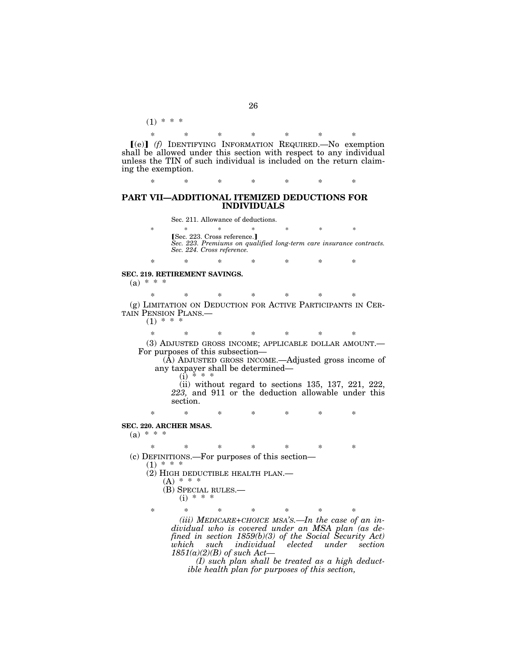\* \* \* \* \* \* \* [(e)] (f) IDENTIFYING INFORMATION REQUIRED. No exemption shall be allowed under this section with respect to any individual unless the TIN of such individual is included on the return claiming the exemption.

\* \* \* \* \* \* \*

#### **PART VII—ADDITIONAL ITEMIZED DEDUCTIONS FOR INDIVIDUALS**

Sec. 211. Allowance of deductions.

\* \* \* \* \* \* \* øSec. 223. Cross reference.¿ *Sec. 223. Premiums on qualified long-term care insurance contracts. Sec. 224. Cross reference.*

**SEC. 219. RETIREMENT SAVINGS.** 

 $(a) * * * *$ 

\* \* \* \* \* \* \* (g) LIMITATION ON DEDUCTION FOR ACTIVE PARTICIPANTS IN CER-TAIN PENSION PLANS.—

\* \* \* \* \* \* \*

 $(1) * *$ 

 $(1) * * *$ 

\* \* \* \* \* \* \* (3) ADJUSTED GROSS INCOME; APPLICABLE DOLLAR AMOUNT.— For purposes of this subsection— (A) ADJUSTED GROSS INCOME.—Adjusted gross income of

any taxpayer shall be determined—<br>(i) \* \* \*

(ii) without regard to sections 135, 137, 221, 222, *223,* and 911 or the deduction allowable under this section.

\* \* \* \* \* \* \*

#### **SEC. 220. ARCHER MSAS.**

 $(a) * * *$ 

\* \* \* \* \* \* \* (c) DEFINITIONS.—For purposes of this section—

 $(1) * * * *$ 

(2) HIGH DEDUCTIBLE HEALTH PLAN.—

 $(A) * * * *$ (B) SPECIAL RULES.— (i) \* \* \*

\* \* \* \* \* \* \* *(iii) MEDICARE+CHOICE MSA'S.—In the case of an individual who is covered under an MSA plan (as defined in section 1859(b)(3) of the Social Security Act) which such individual elected under section 1851(a)(2)(B) of such Act—*

*(I) such plan shall be treated as a high deductible health plan for purposes of this section,*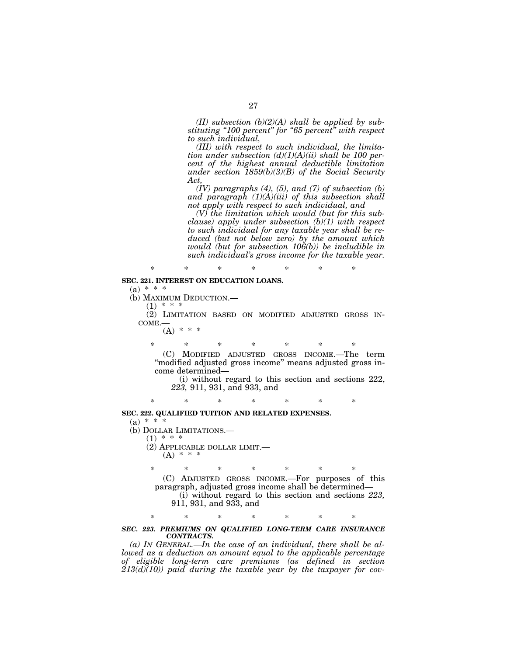*(II) subsection (b)(2)(A) shall be applied by substituting ''100 percent'' for ''65 percent'' with respect to such individual,* 

*(III) with respect to such individual, the limitation under subsection (d)(1)(A)(ii) shall be 100 percent of the highest annual deductible limitation under section 1859(b)(3)(B) of the Social Security Act,* 

*(IV) paragraphs (4), (5), and (7) of subsection (b) and paragraph (1)(A)(iii) of this subsection shall not apply with respect to such individual, and* 

*(V) the limitation which would (but for this subclause) apply under subsection (b)(1) with respect to such individual for any taxable year shall be reduced (but not below zero) by the amount which would (but for subsection 106(b)) be includible in such individual's gross income for the taxable year.*

# **SEC. 221. INTEREST ON EDUCATION LOANS.**

 $(a) * * *$ 

(b) MAXIMUM DEDUCTION.—

 $(1)$  \*

(2) LIMITATION BASED ON MODIFIED ADJUSTED GROSS IN-COME.—

\* \* \* \* \* \* \*

 $(A) * * * *$ 

\* \* \* \* \* \* \*

(C) MODIFIED ADJUSTED GROSS INCOME.—The term ''modified adjusted gross income'' means adjusted gross income determined— (i) without regard to this section and sections 222,

*223,* 911, 931, and 933, and

\* \* \* \* \* \* \*

#### **SEC. 222. QUALIFIED TUITION AND RELATED EXPENSES.**

 $(a) * * * *$ 

(b) DOLLAR LIMITATIONS.—

 $(1) * * *$ 

(2) APPLICABLE DOLLAR LIMIT.—  $(A) * * * *$ 

\* \* \* \* \* \* \* (C) ADJUSTED GROSS INCOME.—For purposes of this paragraph, adjusted gross income shall be determined— (i) without regard to this section and sections *223,* 911, 931, and 933, and

\* \* \* \* \* \* \*

#### *SEC. 223. PREMIUMS ON QUALIFIED LONG-TERM CARE INSURANCE CONTRACTS.*

*(a) IN GENERAL.—In the case of an individual, there shall be allowed as a deduction an amount equal to the applicable percentage of eligible long-term care premiums (as defined in section*   $213(d)(10)$  paid during the taxable year by the taxpayer for cov-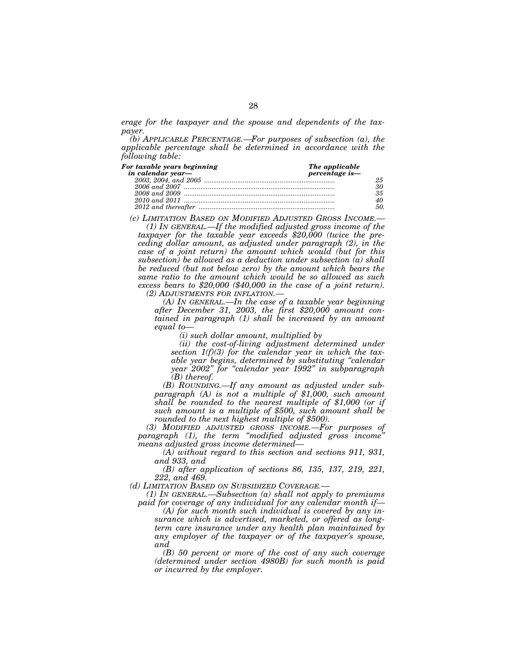*erage for the taxpayer and the spouse and dependents of the taxpayer.* 

*(b) APPLICABLE PERCENTAGE.—For purposes of subsection (a), the applicable percentage shall be determined in accordance with the following table:*

| For taxable years beginning | The applicable |  |  |
|-----------------------------|----------------|--|--|
|                             | percentage is- |  |  |
|                             |                |  |  |
|                             |                |  |  |
|                             | 35             |  |  |
|                             |                |  |  |
|                             | 50.            |  |  |

*(c) LIMITATION BASED ON MODIFIED ADJUSTED GROSS INCOME.— (1) IN GENERAL.—If the modified adjusted gross income of the taxpayer for the taxable year exceeds \$20,000 (twice the preceding dollar amount, as adjusted under paragraph (2), in the case of a joint return) the amount which would (but for this* 

*subsection) be allowed as a deduction under subsection (a) shall be reduced (but not below zero) by the amount which bears the same ratio to the amount which would be so allowed as such excess bears to \$20,000 (\$40,000 in the case of a joint return).* 

*(2) ADJUSTMENTS FOR INFLATION.—*

*(A) IN GENERAL.—In the case of a taxable year beginning after December 31, 2003, the first \$20,000 amount contained in paragraph (1) shall be increased by an amount equal to—*

*(i) such dollar amount, multiplied by* 

*(ii) the cost-of-living adjustment determined under section 1(f)(3) for the calendar year in which the taxable year begins, determined by substituting ''calendar year 2002'' for ''calendar year 1992'' in subparagraph (B) thereof.* 

*(B) ROUNDING.—If any amount as adjusted under subparagraph (A) is not a multiple of \$1,000, such amount shall be rounded to the nearest multiple of \$1,000 (or if such amount is a multiple of \$500, such amount shall be rounded to the next highest multiple of \$500).* 

*(3) MODIFIED ADJUSTED GROSS INCOME.—For purposes of paragraph (1), the term ''modified adjusted gross income'' means adjusted gross income determined—*

*(A) without regard to this section and sections 911, 931, and 933, and* 

*(B) after application of sections 86, 135, 137, 219, 221, 222, and 469.* 

*(d) LIMITATION BASED ON SUBSIDIZED COVERAGE.—*

*(1) IN GENERAL.—Subsection (a) shall not apply to premiums paid for coverage of any individual for any calendar month if—*

*(A) for such month such individual is covered by any insurance which is advertised, marketed, or offered as longterm care insurance under any health plan maintained by any employer of the taxpayer or of the taxpayer's spouse, and* 

*(B) 50 percent or more of the cost of any such coverage (determined under section 4980B) for such month is paid or incurred by the employer.*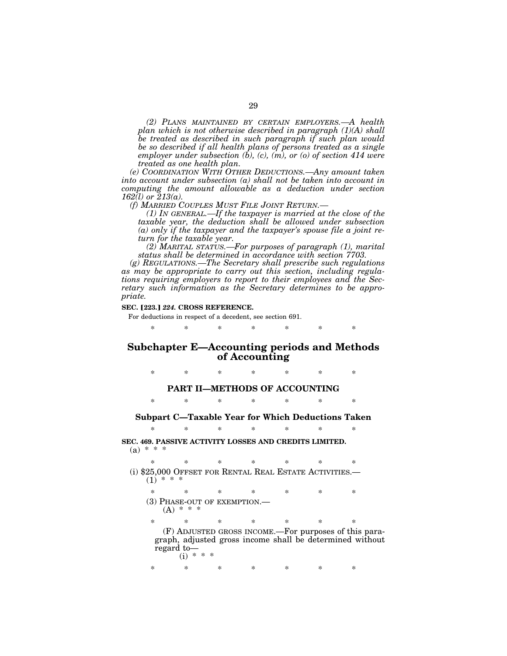*(2) PLANS MAINTAINED BY CERTAIN EMPLOYERS.—A health plan which is not otherwise described in paragraph (1)(A) shall be treated as described in such paragraph if such plan would be so described if all health plans of persons treated as a single employer under subsection (b), (c), (m), or (o) of section 414 were treated as one health plan.* 

*(e) COORDINATION WITH OTHER DEDUCTIONS.—Any amount taken into account under subsection (a) shall not be taken into account in computing the amount allowable as a deduction under section 162(l) or 213(a).* 

*(f) MARRIED COUPLES MUST FILE JOINT RETURN.— (1) IN GENERAL.—If the taxpayer is married at the close of the taxable year, the deduction shall be allowed under subsection (a) only if the taxpayer and the taxpayer's spouse file a joint return for the taxable year.* 

*(2) MARITAL STATUS.—For purposes of paragraph (1), marital status shall be determined in accordance with section 7703.* 

*(g) REGULATIONS.—The Secretary shall prescribe such regulations as may be appropriate to carry out this section, including regulations requiring employers to report to their employees and the Secretary such information as the Secretary determines to be appropriate.*

#### **SEC.** ø**223.**¿ *224.* **CROSS REFERENCE.**

For deductions in respect of a decedent, see section 691.

\* \* \* \* \* \* \*

# **Subchapter E—Accounting periods and Methods of Accounting**

\* \* \* \* \* \* \* **PART II—METHODS OF ACCOUNTING**  \* \* \* \* \* \* \*

#### **Subpart C—Taxable Year for Which Deductions Taken**

\* \* \* \* \* \* \* **SEC. 469. PASSIVE ACTIVITY LOSSES AND CREDITS LIMITED.**   $(a) * * * *$ 

\* \* \* \* \* \* \* (i) \$25,000 OFFSET FOR RENTAL REAL ESTATE ACTIVITIES.—  $(1) * *$ \* \* \* \* \* \* \* (3) PHASE-OUT OF EXEMPTION.<br>(A)  $* * * *$ 

\* \* \* \* \* \* \* (F) ADJUSTED GROSS INCOME.—For purposes of this paragraph, adjusted gross income shall be determined without regard to—  $(i) * * *$ 

\* \* \* \* \* \* \*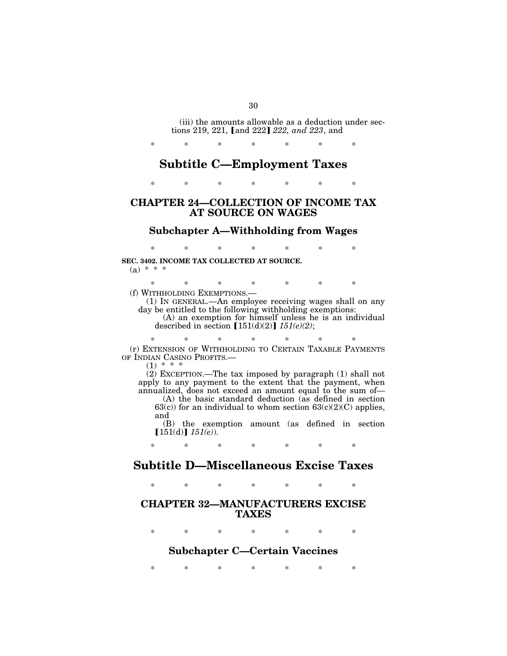(iii) the amounts allowable as a deduction under sections 219, 221, [and 222] 222, and 223, and

# **Subtitle C—Employment Taxes**

\* \* \* \* \* \* \*

\* \* \* \* \* \* \*

# **CHAPTER 24—COLLECTION OF INCOME TAX AT SOURCE ON WAGES**

# **Subchapter A—Withholding from Wages**

\* \* \* \* \* \* \*

**SEC. 3402. INCOME TAX COLLECTED AT SOURCE.**   $(a) * * * *$ 

\* \* \* \* \* \* \*

(f) WITHHOLDING EXEMPTIONS.—

(1) IN GENERAL.—An employee receiving wages shall on any day be entitled to the following withholding exemptions:

(A) an exemption for himself unless he is an individual described in section  $[151(d)(2)]$   $151(e)(2)$ ;

\* \* \* \* \* \* \* (r) EXTENSION OF WITHHOLDING TO CERTAIN TAXABLE PAYMENTS OF INDIAN CASINO PROFITS.—

 $(1) *$ 

(2) EXCEPTION.—The tax imposed by paragraph (1) shall not apply to any payment to the extent that the payment, when annualized, does not exceed an amount equal to the sum of—

(A) the basic standard deduction (as defined in section 63(c)) for an individual to whom section  $63(c)(2)(C)$  applies, and

(B) the exemption amount (as defined in section  $[151(d)] 151(e)$ .

\* \* \* \* \* \* \*

# **Subtitle D—Miscellaneous Excise Taxes**

\* \* \* \* \* \* \*

# **CHAPTER 32—MANUFACTURERS EXCISE TAXES**

\* \* \* \* \* \* \*

# **Subchapter C—Certain Vaccines**

\* \* \* \* \* \* \*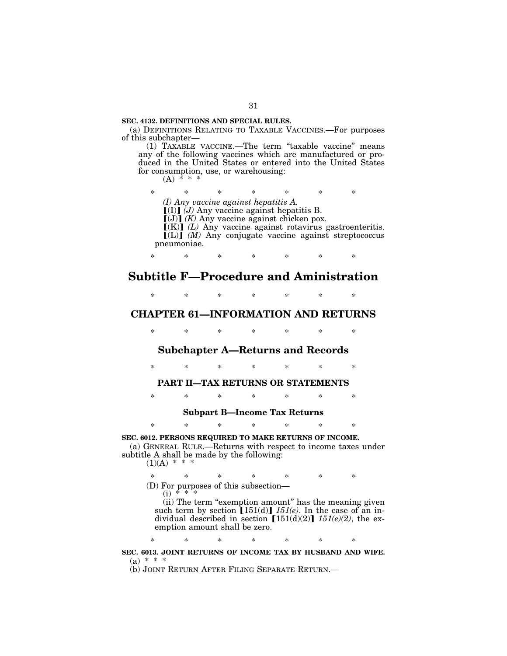#### **SEC. 4132. DEFINITIONS AND SPECIAL RULES.**

(a) DEFINITIONS RELATING TO TAXABLE VACCINES.—For purposes of this subchapter—

(1) TAXABLE VACCINE.—The term ''taxable vaccine'' means any of the following vaccines which are manufactured or produced in the United States or entered into the United States for consumption, use, or warehousing:  $(A) *$ 

\* \* \* \* \* \* \*

*(I) Any vaccine against hepatitis A.*

 $[(I)]$   $(J)$  Any vaccine against hepatitis B.

 $[(J)]$   $(K)$  Any vaccine against chicken pox.

 $\widetilde{K}(K)$  *(L)* Any vaccine against rotavirus gastroenteritis.  $\left[\begin{matrix} (L) \end{matrix}\right]$   $(M)$  Any conjugate vaccine against streptococcus pneumoniae.

\* \* \* \* \* \* \*

# **Subtitle F—Procedure and Aministration**

\* \* \* \* \* \* \*

# **CHAPTER 61—INFORMATION AND RETURNS**

\* \* \* \* \* \* \*

# **Subchapter A—Returns and Records**

\* \* \* \* \* \* \*

# **PART II—TAX RETURNS OR STATEMENTS**

\* \* \* \* \* \* \*

#### **Subpart B—Income Tax Returns**

\* \* \* \* \* \* \*

**SEC. 6012. PERSONS REQUIRED TO MAKE RETURNS OF INCOME.**  (a) GENERAL RULE.—Returns with respect to income taxes under subtitle A shall be made by the following:  $(1)(A)$  \* \*

\* \* \* \* \* \* \*

(D) For purposes of this subsection—<br>(i)  $* * *$ 

(ii) The term "exemption amount" has the meaning given such term by section  $[151(d)]$   $151(e)$ . In the case of an individual described in section  $[151(d)(2)]$   $151(e)(2)$ , the exemption amount shall be zero.

\* \* \* \* \* \* \*

**SEC. 6013. JOINT RETURNS OF INCOME TAX BY HUSBAND AND WIFE.**   $(a) * * * *$ 

(b) JOINT RETURN AFTER FILING SEPARATE RETURN.—